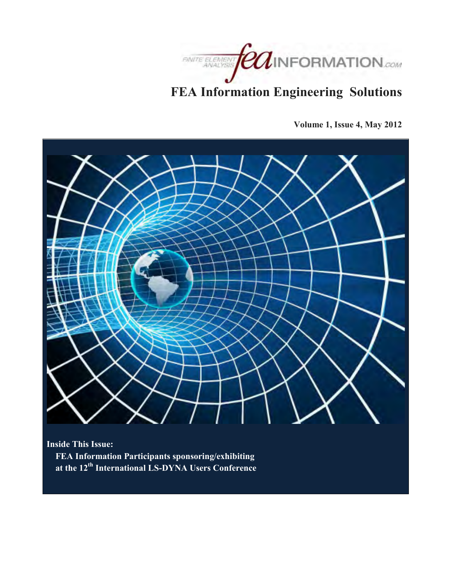

# **FEA Information Engineering Solutions**

**Volume 1, Issue 4, May 2012** 



**Inside This Issue: FEA Information Participants sponsoring/exhibiting at the 12th International LS-DYNA Users Conference**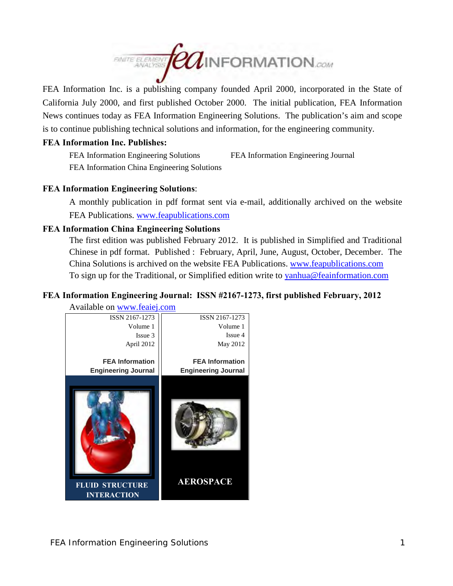

FEA Information Inc. is a publishing company founded April 2000, incorporated in the State of California July 2000, and first published October 2000. The initial publication, FEA Information News continues today as FEA Information Engineering Solutions. The publication's aim and scope is to continue publishing technical solutions and information, for the engineering community.

# **FEA Information Inc. Publishes:**

FEA Information Engineering Solutions FEA Information Engineering Journal FEA Information China Engineering Solutions

# **FEA Information Engineering Solutions**:

A monthly publication in pdf format sent via e-mail, additionally archived on the website FEA Publications. [www.feapublications.com](http://www.feapublications.com/) 

# **FEA Information China Engineering Solutions**

The first edition was published February 2012. It is published in Simplified and Traditional Chinese in pdf format. Published : February, April, June, August, October, December. The China Solutions is archived on the website FEA Publications. [www.feapublications.com](http://www.feapublications.com/)  To sign up for the Traditional, or Simplified edition write to yanhua@feainformation.com

# **FEA Information Engineering Journal: ISSN #2167-1273, first published February, 2012**

Available on [www.feaiej.com](http://www.feaiej.com/)  ISSN 2167-1273 Volume 1 Issue 4 May 2012 **FEA Information Engineering Journal AEROSPACE**  ISSN 2167-1273 Volume 1 Issue 3 April 2012 **FEA Information Engineering Journal FLUID STRUCTURE INTERACTION**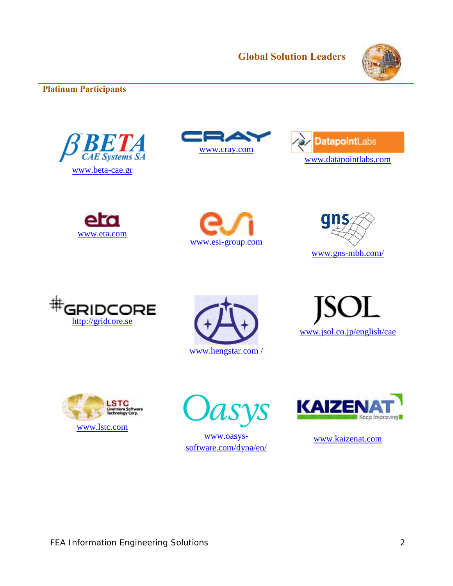

# **Platinum Participants**





















VS

[www.oasys](http://www.oasys-software.com/dyna/en/)[software.com/dyna/en/](http://www.oasys-software.com/dyna/en/) 



[www.kaizenat.com](http://www.kaizenat.com/)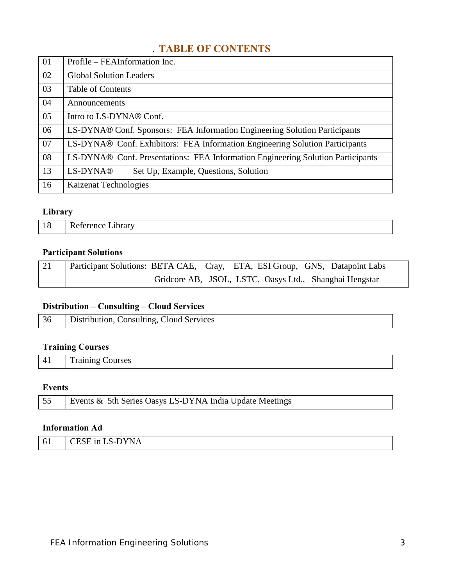# . **TABLE OF CONTENTS**

| 01 | Profile – FEAInformation Inc.                                                   |
|----|---------------------------------------------------------------------------------|
| 02 | <b>Global Solution Leaders</b>                                                  |
| 03 | <b>Table of Contents</b>                                                        |
| 04 | Announcements                                                                   |
| 05 | Intro to LS-DYNA® Conf.                                                         |
| 06 | LS-DYNA® Conf. Sponsors: FEA Information Engineering Solution Participants      |
| 07 | LS-DYNA® Conf. Exhibitors: FEA Information Engineering Solution Participants    |
| 08 | LS-DYNA® Conf. Presentations: FEA Information Engineering Solution Participants |
| 13 | LS-DYNA®<br>Set Up, Example, Questions, Solution                                |
| 16 | Kaizenat Technologies                                                           |

# **Library**

| 18 | Reference Library |
|----|-------------------|
|    |                   |

# **Participant Solutions**

| 21 | Participant Solutions: BETA CAE, Cray, ETA, ESI Group, GNS, Datapoint Labs |  |  |                                                        |
|----|----------------------------------------------------------------------------|--|--|--------------------------------------------------------|
|    |                                                                            |  |  | Gridcore AB, JSOL, LSTC, Oasys Ltd., Shanghai Hengstar |

# **Distribution – Consulting – Cloud Services**

| 36 | Distribution, Consulting, Cloud Services |
|----|------------------------------------------|
|----|------------------------------------------|

# **Training Courses**

| 41 | Training Courses |
|----|------------------|
|----|------------------|

# **Events**

| 55   Events & 5th Series Oasys LS-DYNA India Update Meetings |
|--------------------------------------------------------------|
|                                                              |

# **Information Ad**

| 61 | -DYNA<br>$C \Gamma C \Gamma$<br>$\mathsf{LLSE}$ in LS-DV |
|----|----------------------------------------------------------|
|    |                                                          |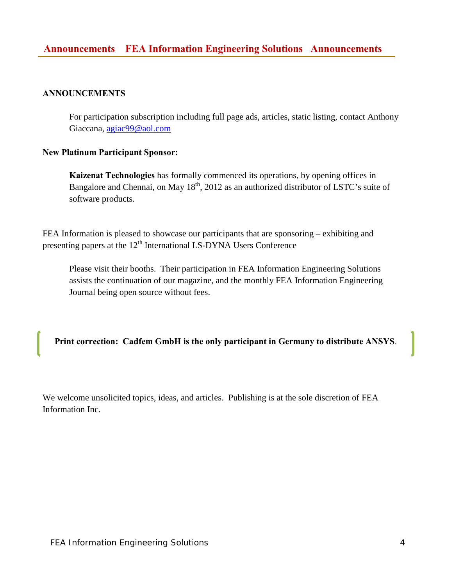# **ANNOUNCEMENTS**

For participation subscription including full page ads, articles, static listing, contact Anthony Giaccana, [agiac99@aol.com](mailto:agiac99@aol.com) 

# **New Platinum Participant Sponsor:**

**Kaizenat Technologies** has formally commenced its operations, by opening offices in Bangalore and Chennai, on May 18<sup>th</sup>, 2012 as an authorized distributor of LSTC's suite of software products.

FEA Information is pleased to showcase our participants that are sponsoring – exhibiting and presenting papers at the  $12<sup>th</sup>$  International LS-DYNA Users Conference

Please visit their booths. Their participation in FEA Information Engineering Solutions assists the continuation of our magazine, and the monthly FEA Information Engineering Journal being open source without fees.

**Print correction: Cadfem GmbH is the only participant in Germany to distribute ANSYS.**

We welcome unsolicited topics, ideas, and articles. Publishing is at the sole discretion of FEA Information Inc.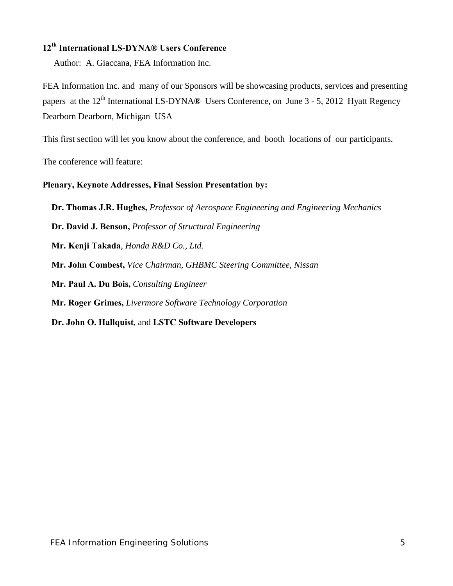# **12th International LS-DYNA® Users Conference**

Author: A. Giaccana, FEA Information Inc.

FEA Information Inc. and many of our Sponsors will be showcasing products, services and presenting papers at the 12<sup>th</sup> International LS-DYNA® Users Conference, on June 3 - 5, 2012 Hyatt Regency Dearborn Dearborn, Michigan USA

This first section will let you know about the conference, and booth locations of our participants.

The conference will feature:

# **Plenary, Keynote Addresses, Final Session Presentation by:**

 **Dr. Thomas J.R. Hughes,** *Professor of Aerospace Engineering and Engineering Mechanics*   **Dr. David J. Benson,** *Professor of Structural Engineering*   **Mr. Kenji Takada**, *Honda R&D Co., Ltd.*  **Mr. John Combest,** *Vice Chairman, GHBMC Steering Committee, Nissan*   **Mr. Paul A. Du Bois,** *Consulting Engineer*   **Mr. Roger Grimes,** *Livermore Software Technology Corporation*   **Dr. John O. Hallquist**, and **LSTC Software Developers**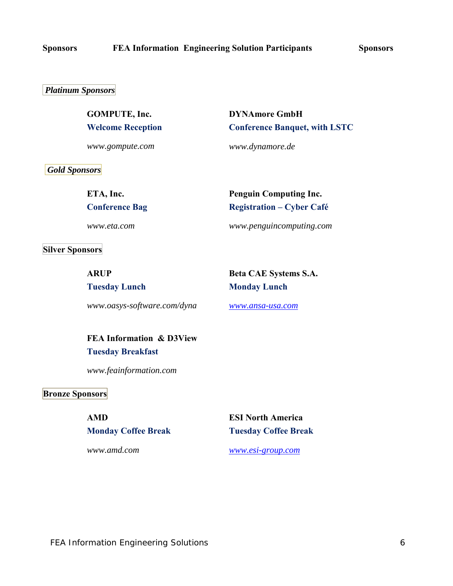### *Platinum Sponsors*

**GOMPUTE, Inc. Welcome Reception**

*www.gompute.com*

**DYNAmore GmbH Conference Banquet, with LSTC**

*www.dynamore.de*

 *Gold Sponsors* 

**ETA, Inc. Conference Bag**

*www.eta.com*

**Silver Sponsors** 

**ARUP Tuesday Lunch**

*www.oasys-software.com/dyna*

**Registration – Cyber Café**  *www.penguincomputing.com*

**Penguin Computing Inc.** 

**Beta CAE Systems S.A. Monday Lunch**

*[www.ansa-usa.com](http://www.ansa-usa.com/)*

**FEA Information & D3View Tuesday Breakfast** 

*www.feainformation.com*

# **Bronze Sponsors**

**AMD Monday Coffee Break**

*www.amd.com*

**ESI North America Tuesday Coffee Break**

*[www.esi-group.com](http://www.esi-group.com/)*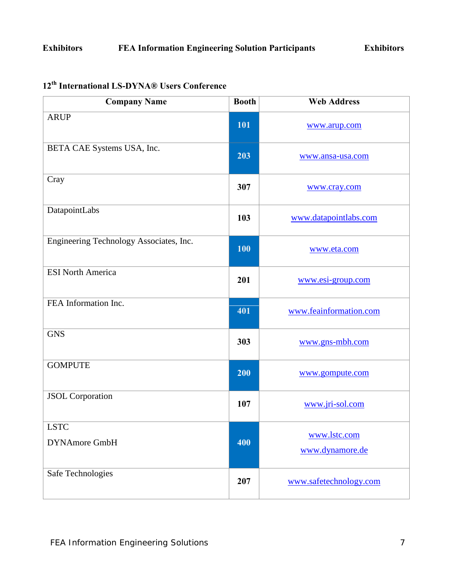# **Exhibitors FEA Information Engineering Solution Participants Exhibitors**

| <b>Company Name</b>                     | <b>Booth</b> | <b>Web Address</b>              |
|-----------------------------------------|--------------|---------------------------------|
| <b>ARUP</b>                             | 101          | www.arup.com                    |
| BETA CAE Systems USA, Inc.              | 203          | www.ansa-usa.com                |
| Cray                                    | 307          | www.cray.com                    |
| DatapointLabs                           | 103          | www.datapointlabs.com           |
| Engineering Technology Associates, Inc. | 100          | www.eta.com                     |
| <b>ESI North America</b>                | 201          | www.esi-group.com               |
| FEA Information Inc.                    | 401          | www.feainformation.com          |
| <b>GNS</b>                              | 303          | www.gns-mbh.com                 |
| <b>GOMPUTE</b>                          | 200          | www.gompute.com                 |
| <b>JSOL</b> Corporation                 | 107          | www.jri-sol.com                 |
| <b>LSTC</b><br><b>DYNAmore GmbH</b>     | 400          | www.lstc.com<br>www.dynamore.de |
| Safe Technologies                       | 207          | www.safetechnology.com          |

# **12th International LS-DYNA® Users Conference**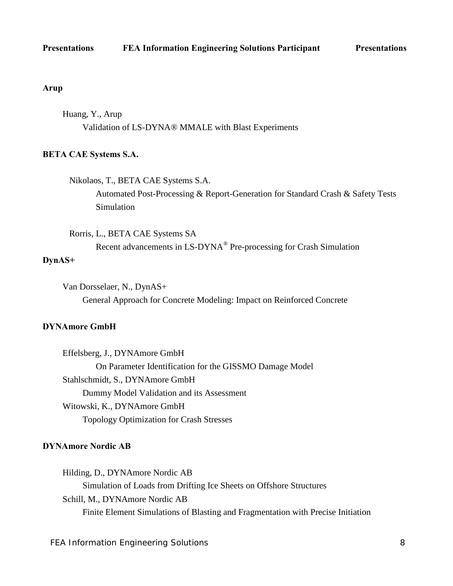### **Arup**

Huang, Y., Arup Validation of LS-DYNA® MMALE with Blast Experiments

### **BETA CAE Systems S.A.**

Nikolaos, T., BETA CAE Systems S.A. Automated Post-Processing & Report-Generation for Standard Crash & Safety Tests Simulation

Rorris, L., BETA CAE Systems SA Recent advancements in LS-DYNA® Pre-processing for Crash Simulation

## **DynAS+**

Van Dorsselaer, N., DynAS+ General Approach for Concrete Modeling: Impact on Reinforced Concrete

# **DYNAmore GmbH**

 Effelsberg, J., DYNAmore GmbH On Parameter Identification for the GISSMO Damage Model Stahlschmidt, S., DYNAmore GmbH Dummy Model Validation and its Assessment Witowski, K., DYNAmore GmbH Topology Optimization for Crash Stresses

### **DYNAmore Nordic AB**

Hilding, D., DYNAmore Nordic AB Simulation of Loads from Drifting Ice Sheets on Offshore Structures Schill, M., DYNAmore Nordic AB Finite Element Simulations of Blasting and Fragmentation with Precise Initiation

FEA Information Engineering Solutions 8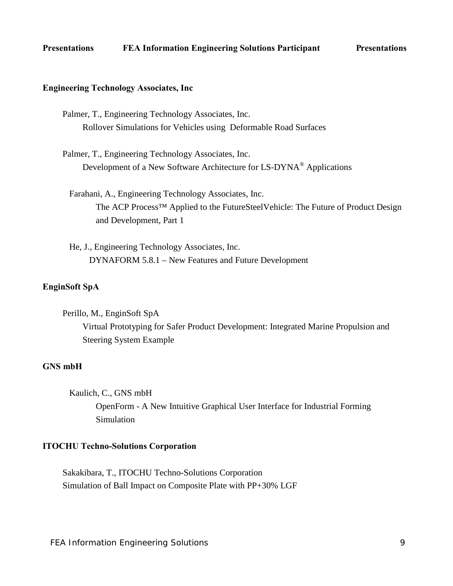## **Engineering Technology Associates, Inc**

- Palmer, T., Engineering Technology Associates, Inc. Rollover Simulations for Vehicles using Deformable Road Surfaces
- Palmer, T., Engineering Technology Associates, Inc. Development of a New Software Architecture for LS-DYNA® Applications
	- Farahani, A., Engineering Technology Associates, Inc. The ACP Process™ Applied to the FutureSteelVehicle: The Future of Product Design and Development, Part 1
	- He, J., Engineering Technology Associates, Inc. DYNAFORM 5.8.1 – New Features and Future Development

# **EnginSoft SpA**

Perillo, M., EnginSoft SpA Virtual Prototyping for Safer Product Development: Integrated Marine Propulsion and Steering System Example

# **GNS mbH**

Kaulich, C., GNS mbH

OpenForm - A New Intuitive Graphical User Interface for Industrial Forming Simulation

### **ITOCHU Techno-Solutions Corporation**

Sakakibara, T., ITOCHU Techno-Solutions Corporation Simulation of Ball Impact on Composite Plate with PP+30% LGF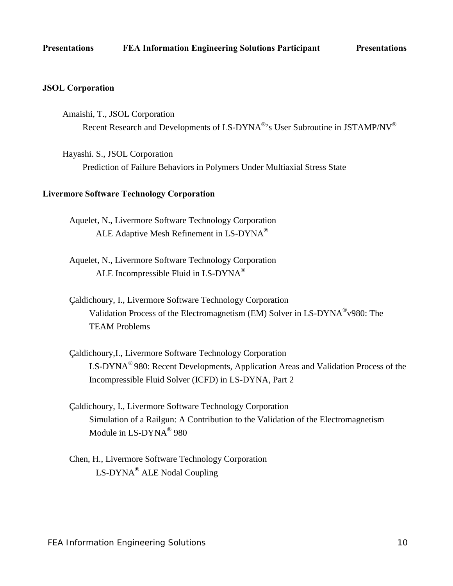## **JSOL Corporation**

- Amaishi, T., JSOL Corporation Recent Research and Developments of LS-DYNA®'s User Subroutine in JSTAMP/NV®
- Hayashi. S., JSOL Corporation Prediction of Failure Behaviors in Polymers Under Multiaxial Stress State

### **Livermore Software Technology Corporation**

- Aquelet, N., Livermore Software Technology Corporation ALE Adaptive Mesh Refinement in LS-DYNA®
- Aquelet, N., Livermore Software Technology Corporation ALE Incompressible Fluid in LS-DYNA®
- Çaldichoury, I., Livermore Software Technology Corporation Validation Process of the Electromagnetism (EM) Solver in LS-DYNA®v980: The TEAM Problems
- Çaldichoury,I., Livermore Software Technology Corporation LS-DYNA® 980: Recent Developments, Application Areas and Validation Process of the Incompressible Fluid Solver (ICFD) in LS-DYNA, Part 2
- Çaldichoury, I., Livermore Software Technology Corporation Simulation of a Railgun: A Contribution to the Validation of the Electromagnetism Module in LS-DYNA<sup>®</sup> 980
- Chen, H., Livermore Software Technology Corporation LS-DYNA® ALE Nodal Coupling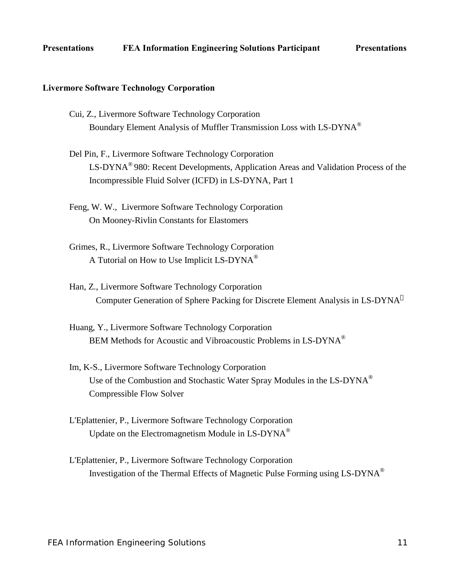### **Livermore Software Technology Corporation**

- Cui, Z., Livermore Software Technology Corporation Boundary Element Analysis of Muffler Transmission Loss with LS-DYNA®
- Del Pin, F., Livermore Software Technology Corporation LS-DYNA® 980: Recent Developments, Application Areas and Validation Process of the Incompressible Fluid Solver (ICFD) in LS-DYNA, Part 1
- Feng, W. W., Livermore Software Technology Corporation On Mooney-Rivlin Constants for Elastomers
- Grimes, R., Livermore Software Technology Corporation A Tutorial on How to Use Implicit LS-DYNA®
- Han, Z., Livermore Software Technology Corporation Computer Generation of Sphere Packing for Discrete Element Analysis in LS-DYNA<sup>O</sup>
- Huang, Y., Livermore Software Technology Corporation BEM Methods for Acoustic and Vibroacoustic Problems in LS-DYNA®
- Im, K-S., Livermore Software Technology Corporation Use of the Combustion and Stochastic Water Spray Modules in the LS-DYNA<sup>®</sup> Compressible Flow Solver
- L'Eplattenier, P., Livermore Software Technology Corporation Update on the Electromagnetism Module in LS-DYNA®
- L'Eplattenier, P., Livermore Software Technology Corporation Investigation of the Thermal Effects of Magnetic Pulse Forming using LS-DYNA®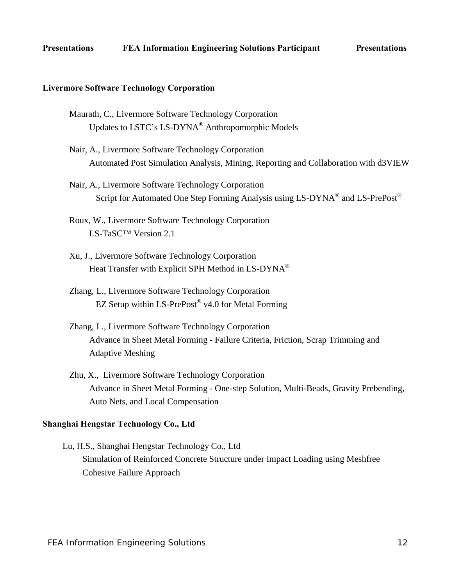### **Livermore Software Technology Corporation**

- Maurath, C., Livermore Software Technology Corporation Updates to LSTC's LS-DYNA® Anthropomorphic Models
- Nair, A., Livermore Software Technology Corporation Automated Post Simulation Analysis, Mining, Reporting and Collaboration with d3VIEW
- Nair, A., Livermore Software Technology Corporation Script for Automated One Step Forming Analysis using LS-DYNA<sup>®</sup> and LS-PrePost<sup>®</sup>
- Roux, W., Livermore Software Technology Corporation LS-TaSC™ Version 2.1
- Xu, J., Livermore Software Technology Corporation Heat Transfer with Explicit SPH Method in LS-DYNA<sup>®</sup>
- Zhang, L., Livermore Software Technology Corporation EZ Setup within  $LS-PrePost^{\circledast}$  v4.0 for Metal Forming
- Zhang, L., Livermore Software Technology Corporation Advance in Sheet Metal Forming - Failure Criteria, Friction, Scrap Trimming and Adaptive Meshing
- Zhu, X., Livermore Software Technology Corporation Advance in Sheet Metal Forming - One-step Solution, Multi-Beads, Gravity Prebending, Auto Nets, and Local Compensation

### **Shanghai Hengstar Technology Co., Ltd**

Lu, H.S., Shanghai Hengstar Technology Co., Ltd Simulation of Reinforced Concrete Structure under Impact Loading using Meshfree Cohesive Failure Approach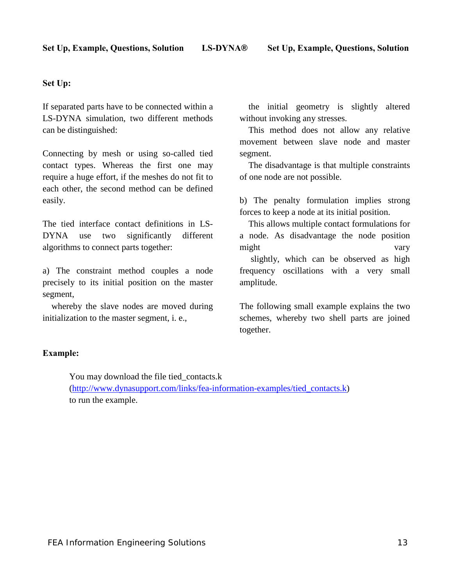# **Set Up:**

If separated parts have to be connected within a LS-DYNA simulation, two different methods can be distinguished:

Connecting by mesh or using so-called tied contact types. Whereas the first one may require a huge effort, if the meshes do not fit to each other, the second method can be defined easily.

The tied interface contact definitions in LS-DYNA use two significantly different algorithms to connect parts together:

a) The constraint method couples a node precisely to its initial position on the master segment,

 whereby the slave nodes are moved during initialization to the master segment, i. e.,

 the initial geometry is slightly altered without invoking any stresses.

 This method does not allow any relative movement between slave node and master segment.

 The disadvantage is that multiple constraints of one node are not possible.

b) The penalty formulation implies strong forces to keep a node at its initial position.

 This allows multiple contact formulations for a node. As disadvantage the node position might vary

 slightly, which can be observed as high frequency oscillations with a very small amplitude.

The following small example explains the two schemes, whereby two shell parts are joined together.

# **Example:**

You may download the file tied\_contacts.k [\(http://www.dynasupport.com/links/fea-information-examples/tied\\_contacts.k\)](http://www.dynasupport.com/links/fea-information-examples/tied_contacts.k) to run the example.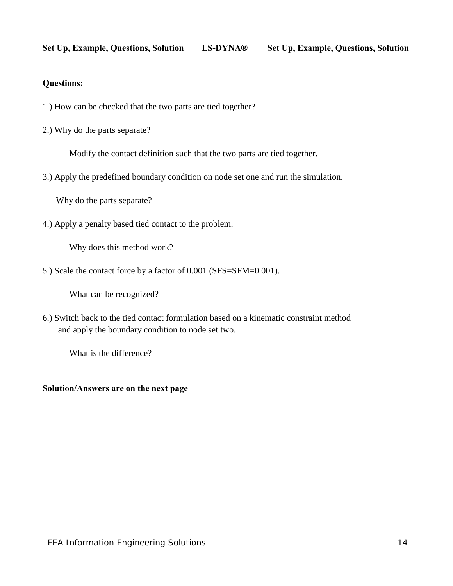# **Questions:**

- 1.) How can be checked that the two parts are tied together?
- 2.) Why do the parts separate?

Modify the contact definition such that the two parts are tied together.

3.) Apply the predefined boundary condition on node set one and run the simulation.

Why do the parts separate?

4.) Apply a penalty based tied contact to the problem.

Why does this method work?

5.) Scale the contact force by a factor of 0.001 (SFS=SFM=0.001).

What can be recognized?

6.) Switch back to the tied contact formulation based on a kinematic constraint method and apply the boundary condition to node set two.

What is the difference?

# **Solution/Answers are on the next page**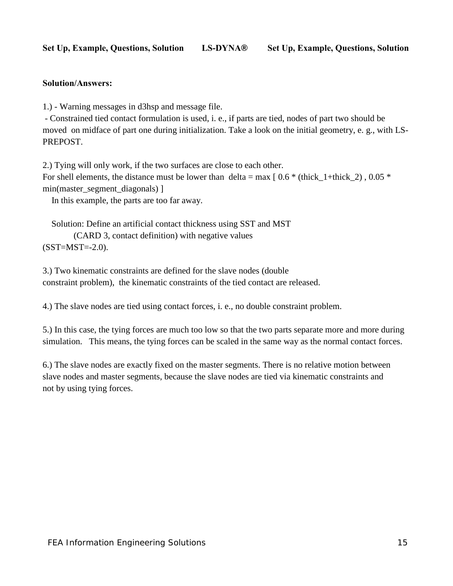# **Solution/Answers:**

1.) - Warning messages in d3hsp and message file.

 - Constrained tied contact formulation is used, i. e., if parts are tied, nodes of part two should be moved on midface of part one during initialization. Take a look on the initial geometry, e. g., with LS-PREPOST.

2.) Tying will only work, if the two surfaces are close to each other.

For shell elements, the distance must be lower than delta = max  $[0.6 * (thick 1+thick 2)$ , 0.05  $*$ min(master\_segment\_diagonals) ]

In this example, the parts are too far away.

 Solution: Define an artificial contact thickness using SST and MST (CARD 3, contact definition) with negative values  $(SST=MST=-2.0)$ .

3.) Two kinematic constraints are defined for the slave nodes (double constraint problem), the kinematic constraints of the tied contact are released.

4.) The slave nodes are tied using contact forces, i. e., no double constraint problem.

5.) In this case, the tying forces are much too low so that the two parts separate more and more during simulation. This means, the tying forces can be scaled in the same way as the normal contact forces.

6.) The slave nodes are exactly fixed on the master segments. There is no relative motion between slave nodes and master segments, because the slave nodes are tied via kinematic constraints and not by using tying forces.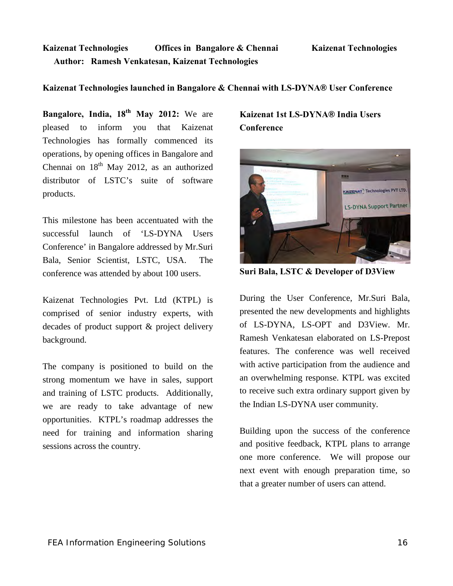# **Kaizenat Technologies Offices in Bangalore & Chennai Kaizenat Technologies Author: Ramesh Venkatesan, Kaizenat Technologies**

# **Kaizenat Technologies launched in Bangalore & Chennai with LS-DYNA® User Conference**

**Bangalore, India, 18th May 2012:** We are pleased to inform you that Kaizenat Technologies has formally commenced its operations, by opening offices in Bangalore and Chennai on  $18<sup>th</sup>$  May 2012, as an authorized distributor of LSTC's suite of software products.

This milestone has been accentuated with the successful launch of 'LS-DYNA Users Conference' in Bangalore addressed by Mr.Suri Bala, Senior Scientist, LSTC, USA. The conference was attended by about 100 users.

Kaizenat Technologies Pvt. Ltd (KTPL) is comprised of senior industry experts, with decades of product support & project delivery background.

The company is positioned to build on the strong momentum we have in sales, support and training of LSTC products. Additionally, we are ready to take advantage of new opportunities. KTPL's roadmap addresses the need for training and information sharing sessions across the country.

# **Kaizenat 1st LS-DYNA® India Users Conference**



**Suri Bala, LSTC & Developer of D3View** 

During the User Conference, Mr.Suri Bala, presented the new developments and highlights of LS-DYNA, LS-OPT and D3View. Mr. Ramesh Venkatesan elaborated on LS-Prepost features. The conference was well received with active participation from the audience and an overwhelming response. KTPL was excited to receive such extra ordinary support given by the Indian LS-DYNA user community.

Building upon the success of the conference and positive feedback, KTPL plans to arrange one more conference. We will propose our next event with enough preparation time, so that a greater number of users can attend.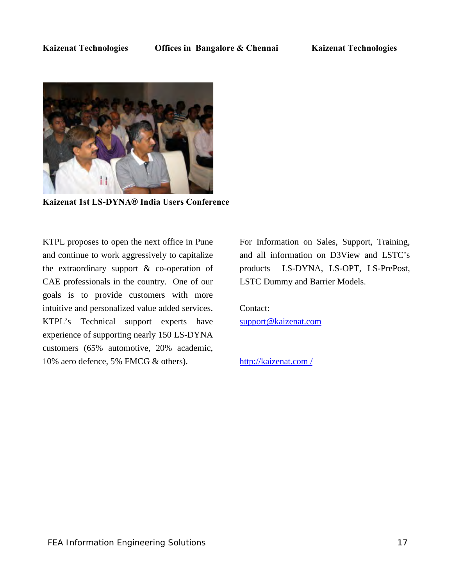

**Kaizenat 1st LS-DYNA® India Users Conference**

KTPL proposes to open the next office in Pune and continue to work aggressively to capitalize the extraordinary support & co-operation of CAE professionals in the country. One of our goals is to provide customers with more intuitive and personalized value added services. KTPL's Technical support experts have experience of supporting nearly 150 LS-DYNA customers (65% automotive, 20% academic, 10% aero defence, 5% FMCG & others).

For Information on Sales, Support, Training, and all information on D3View and LSTC's products LS-DYNA, LS-OPT, LS-PrePost, LSTC Dummy and Barrier Models.

Contact: [support@kaizenat.com](mailto:support@kaizenat.com) 

[http://kaizenat.com /](http://kaizenat.com/)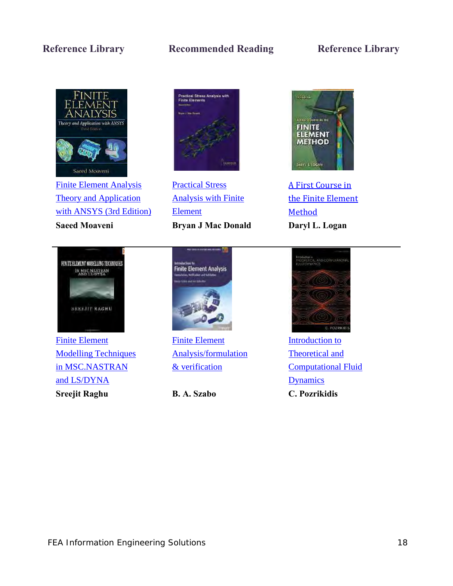# **Reference Library Recommended Reading Reference Library**



[Finite Element Analysis](http://www.amazon.com/gp/product/0131890808?ie=UTF8&tag=feainfo-20&linkCode=as2&camp=1789&creative=9325&creativeASIN=0131890808)  [Theory and Application](http://www.amazon.com/gp/product/0131890808?ie=UTF8&tag=feainfo-20&linkCode=as2&camp=1789&creative=9325&creativeASIN=0131890808)  [with ANSYS \(3rd Edition\)](http://www.amazon.com/gp/product/0131890808?ie=UTF8&tag=feainfo-20&linkCode=as2&camp=1789&creative=9325&creativeASIN=0131890808) 

# .<br>Practical Stress Analysis with<br>Finite Elevents

[Practical Stress](http://www.amazon.com/gp/product/0955578167/ref=as_li_tf_tl?ie=UTF8&tag=feainfo-20&linkCode=as2&camp=1789&creative=9325&creativeASIN=0955578167)  [Analysis with Finite](http://www.amazon.com/gp/product/0955578167/ref=as_li_tf_tl?ie=UTF8&tag=feainfo-20&linkCode=as2&camp=1789&creative=9325&creativeASIN=0955578167)  [Element](http://www.amazon.com/gp/product/0955578167/ref=as_li_tf_tl?ie=UTF8&tag=feainfo-20&linkCode=as2&camp=1789&creative=9325&creativeASIN=0955578167)  **Saeed Moaveni Bryan J Mac Donald Daryl L. Logan**



[A First Course in](http://www.amazon.com/gp/product/0495668257/ref=as_li_tf_tl?ie=UTF8&tag=feainfo-20&linkCode=as2&camp=1789&creative=9325&creativeASIN=0495668257)  [the Finite Element](http://www.amazon.com/gp/product/0495668257/ref=as_li_tf_tl?ie=UTF8&tag=feainfo-20&linkCode=as2&camp=1789&creative=9325&creativeASIN=0495668257)  [Method](http://www.amazon.com/gp/product/0495668257/ref=as_li_tf_tl?ie=UTF8&tag=feainfo-20&linkCode=as2&camp=1789&creative=9325&creativeASIN=0495668257) 



[Finite Element](http://www.amazon.com/gp/product/145378862X/ref=as_li_tf_tl?ie=UTF8&tag=feainfo-20&linkCode=as2&camp=1789&creative=9325&creativeASIN=145378862X)  [Modelling Techniques](http://www.amazon.com/gp/product/145378862X/ref=as_li_tf_tl?ie=UTF8&tag=feainfo-20&linkCode=as2&camp=1789&creative=9325&creativeASIN=145378862X)  [in MSC.NASTRAN](http://www.amazon.com/gp/product/145378862X/ref=as_li_tf_tl?ie=UTF8&tag=feainfo-20&linkCode=as2&camp=1789&creative=9325&creativeASIN=145378862X)  [and LS/DYNA](http://www.amazon.com/gp/product/145378862X/ref=as_li_tf_tl?ie=UTF8&tag=feainfo-20&linkCode=as2&camp=1789&creative=9325&creativeASIN=145378862X)  **Sreejit Raghu B. A. Szabo C. Pozrikidis**



[Finite Element](http://www.amazon.com/gp/product/0470977280/ref=as_li_tf_tl?ie=UTF8&tag=feainfo-20&linkCode=as2&camp=1789&creative=9325&creativeASIN=0470977280)  [Analysis/formulation](http://www.amazon.com/gp/product/0470977280/ref=as_li_tf_tl?ie=UTF8&tag=feainfo-20&linkCode=as2&camp=1789&creative=9325&creativeASIN=0470977280) [& verification](http://www.amazon.com/gp/product/0470977280/ref=as_li_tf_tl?ie=UTF8&tag=feainfo-20&linkCode=as2&camp=1789&creative=9325&creativeASIN=0470977280) 



Introduction to [Theoretical and](http://www.amazon.com/gp/product/0199752079/ref=as_li_tf_tl?ie=UTF8&tag=feainfo-20&linkCode=as2&camp=1789&creative=9325&creativeASIN=0199752079)  [Computational Fluid](http://www.amazon.com/gp/product/0199752079/ref=as_li_tf_tl?ie=UTF8&tag=feainfo-20&linkCode=as2&camp=1789&creative=9325&creativeASIN=0199752079)  **Dynamics**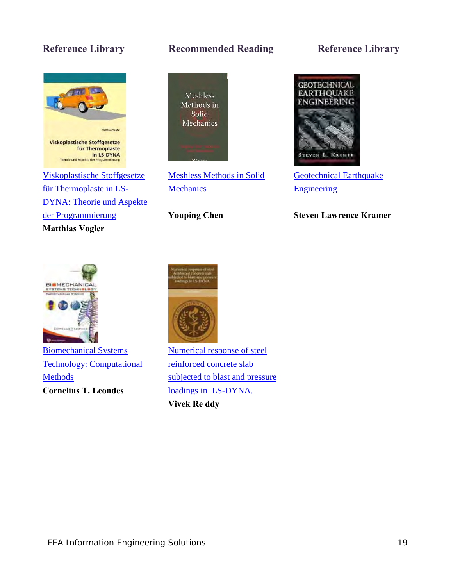

[der Programmierung](http://www.amazon.com/gp/product/3639366956/ref=as_li_tf_tl?ie=UTF8&tag=feainfo-20&linkCode=as2&camp=1789&creative=9325&creativeASIN=3639366956) 

**Matthias Vogler** 

# **Reference Library Recommended Reading Reference Library**



[Meshless Methods in Solid](http://www.amazon.com/gp/product/1441921486/ref=as_li_tf_tl?ie=UTF8&tag=feainfo-20&linkCode=as2&camp=1789&creative=9325&creativeASIN=1441921486)  **Mechanics** 

**Youping Chen**



[Geotechnical Earthquake](http://www.amazon.com/gp/product/0133749436/ref=as_li_tf_tl?ie=UTF8&tag=feainfo-20&linkCode=as2&camp=1789&creative=9325&creativeASIN=0133749436)  [Engineering](http://www.amazon.com/gp/product/0133749436/ref=as_li_tf_tl?ie=UTF8&tag=feainfo-20&linkCode=as2&camp=1789&creative=9325&creativeASIN=0133749436) 

**Steven Lawrence Kramer**



[Biomechanical Systems](http://www.amazon.com/gp/product/9812709819/ref=as_li_tf_tl?ie=UTF8&tag=feainfo-20&linkCode=as2&camp=1789&creative=9325&creativeASIN=9812709819)  [Technology: Computational](http://www.amazon.com/gp/product/9812709819/ref=as_li_tf_tl?ie=UTF8&tag=feainfo-20&linkCode=as2&camp=1789&creative=9325&creativeASIN=9812709819)  [Methods](http://www.amazon.com/gp/product/9812709819/ref=as_li_tf_tl?ie=UTF8&tag=feainfo-20&linkCode=as2&camp=1789&creative=9325&creativeASIN=9812709819) **Cornelius T. Leondes**



[Numerical response of steel](http://www.amazon.com/gp/product/124459427X/ref=as_li_tf_tl?ie=UTF8&tag=feainfo-20&linkCode=as2&camp=1789&creative=9325&creativeASIN=124459427X)  [reinforced concrete slab](http://www.amazon.com/gp/product/124459427X/ref=as_li_tf_tl?ie=UTF8&tag=feainfo-20&linkCode=as2&camp=1789&creative=9325&creativeASIN=124459427X)  subjected to blast and pressure [loadings in LS-DYNA.](http://www.amazon.com/gp/product/124459427X/ref=as_li_tf_tl?ie=UTF8&tag=feainfo-20&linkCode=as2&camp=1789&creative=9325&creativeASIN=124459427X)  **Vivek Re ddy**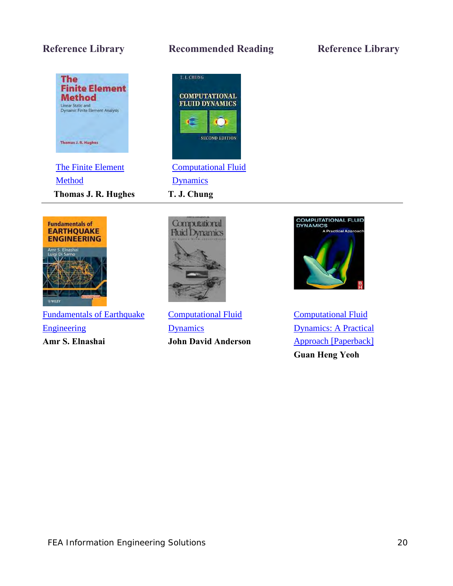

[Method](http://www.amazon.com/gp/product/0486411818/ref=as_li_tf_tl?ie=UTF8&tag=feainfo-20&linkCode=as2&camp=1789&creative=9325&creativeASIN=0486411818)  **Thomas J. R. Hughes T. J. Chung** 

# **Reference Library Recommended Reading Reference Library**





[Fundamentals of Earthquake](http://www.amazon.com/gp/product/0470024836/ref=as_li_tf_tl?ie=UTF8&tag=feainfo-20&linkCode=as2&camp=1789&creative=9325&creativeASIN=0470024836)  [Engineering](http://www.amazon.com/gp/product/0470024836/ref=as_li_tf_tl?ie=UTF8&tag=feainfo-20&linkCode=as2&camp=1789&creative=9325&creativeASIN=0470024836) **Amr S. Elnashai** 



[Computational Fluid](http://www.amazon.com/gp/product/0070016852/ref=as_li_tf_tl?ie=UTF8&tag=feainfo-20&linkCode=as2&camp=1789&creative=9325&creativeASIN=0070016852)  [Dynamics](http://www.amazon.com/gp/product/0070016852/ref=as_li_tf_tl?ie=UTF8&tag=feainfo-20&linkCode=as2&camp=1789&creative=9325&creativeASIN=0070016852) **John David Anderson** 



[Computational Fluid](http://www.amazon.com/gp/product/0750685638/ref=as_li_tf_tl?ie=UTF8&tag=feainfo-20&linkCode=as2&camp=1789&creative=9325&creativeASIN=0750685638)  [Dynamics: A Practical](http://www.amazon.com/gp/product/0750685638/ref=as_li_tf_tl?ie=UTF8&tag=feainfo-20&linkCode=as2&camp=1789&creative=9325&creativeASIN=0750685638)  [Approach \[Paperback\]](http://www.amazon.com/gp/product/0750685638/ref=as_li_tf_tl?ie=UTF8&tag=feainfo-20&linkCode=as2&camp=1789&creative=9325&creativeASIN=0750685638) **Guan Heng Yeoh**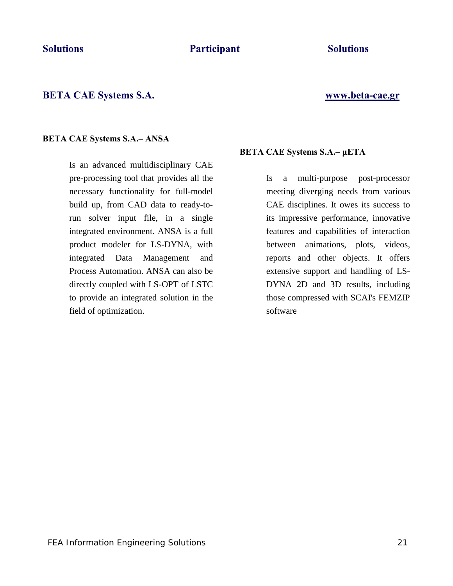# **BETA CAE Systems S.A. [www.beta-cae.gr](http://www.beta-cae.gr/)**

## **BETA CAE Systems S.A.– ANSA**

Is an advanced multidisciplinary CAE pre-processing tool that provides all the necessary functionality for full-model build up, from CAD data to ready-torun solver input file, in a single integrated environment. ANSA is a full product modeler for LS-DYNA, with integrated Data Management and Process Automation. ANSA can also be directly coupled with LS-OPT of LSTC to provide an integrated solution in the field of optimization.

# **BETA CAE Systems S.A.– μETA**

Is a multi-purpose post-processor meeting diverging needs from various CAE disciplines. It owes its success to its impressive performance, innovative features and capabilities of interaction between animations, plots, videos, reports and other objects. It offers extensive support and handling of LS-DYNA 2D and 3D results, including those compressed with SCAI's FEMZIP software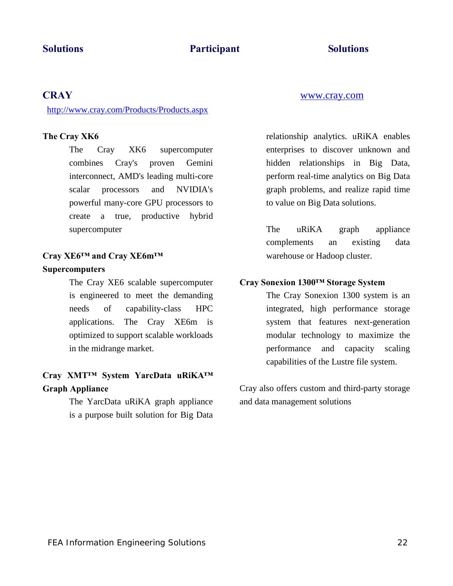# **CRAY** [www.cray.com](http://www.cray.com/)

<http://www.cray.com/Products/Products.aspx>

# **The Cray XK6**

The Cray XK6 supercomputer combines Cray's proven Gemini interconnect, AMD's leading multi-core scalar processors and NVIDIA's powerful many-core GPU processors to create a true, productive hybrid supercomputer

# **Cray XE6™ and Cray XE6m™**

# **Supercomputers**

The Cray XE6 scalable supercomputer is engineered to meet the demanding needs of capability-class HPC applications. The Cray XE6m is optimized to support scalable workloads in the midrange market.

# **Cray XMT™ System YarcData uRiKA™ Graph Appliance**

The YarcData uRiKA graph appliance is a purpose built solution for Big Data relationship analytics. uRiKA enables enterprises to discover unknown and hidden relationships in Big Data, perform real-time analytics on Big Data graph problems, and realize rapid time to value on Big Data solutions.

The uRiKA graph appliance complements an existing data warehouse or Hadoop cluster.

### **Cray Sonexion 1300™ Storage System**

The Cray Sonexion 1300 system is an integrated, high performance storage system that features next-generation modular technology to maximize the performance and capacity scaling capabilities of the Lustre file system.

Cray also offers custom and third-party storage and data management solutions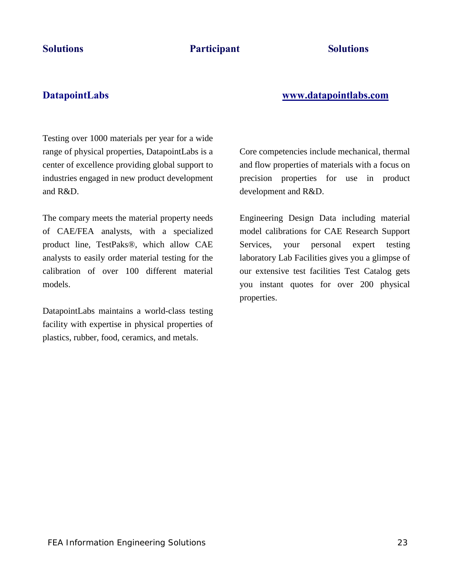# **DatapointLabs [www.datapointlabs.com](http://www.datapointlabs.com/)**

Testing over 1000 materials per year for a wide range of physical properties, DatapointLabs is a center of excellence providing global support to industries engaged in new product development and R&D.

The compary meets the material property needs of CAE/FEA analysts, with a specialized product line, TestPaks®, which allow CAE analysts to easily order material testing for the calibration of over 100 different material models.

DatapointLabs maintains a world-class testing facility with expertise in physical properties of plastics, rubber, food, ceramics, and metals.

Core competencies include mechanical, thermal and flow properties of materials with a focus on precision properties for use in product development and R&D.

Engineering Design Data including material model calibrations for CAE Research Support Services, your personal expert testing laboratory Lab Facilities gives you a glimpse of our extensive test facilities Test Catalog gets you instant quotes for over 200 physical properties.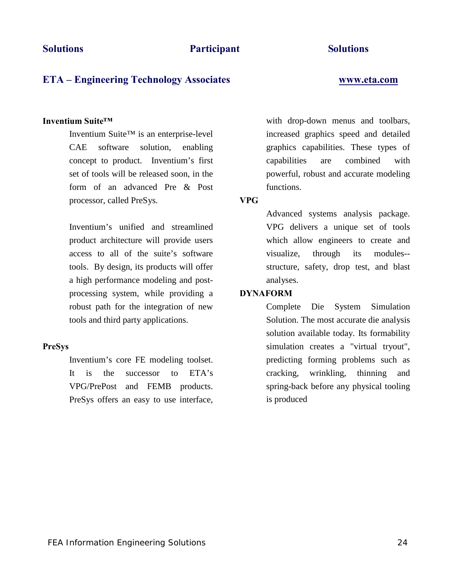# **ETA – Engineering Technology Associates [www.eta.com](http://www.eta.com/)**

## **Inventium Suite™**

Inventium Suite™ is an enterprise-level CAE software solution, enabling concept to product. Inventium's first set of tools will be released soon, in the form of an advanced Pre & Post processor, called PreSys.

Inventium's unified and streamlined product architecture will provide users access to all of the suite's software tools. By design, its products will offer a high performance modeling and postprocessing system, while providing a robust path for the integration of new tools and third party applications.

# **PreSys**

Inventium's core FE modeling toolset. It is the successor to ETA's VPG/PrePost and FEMB products. PreSys offers an easy to use interface, with drop-down menus and toolbars, increased graphics speed and detailed graphics capabilities. These types of capabilities are combined with powerful, robust and accurate modeling functions.

### **VPG**

Advanced systems analysis package. VPG delivers a unique set of tools which allow engineers to create and visualize, through its modules- structure, safety, drop test, and blast analyses.

# **DYNAFORM**

Complete Die System Simulation Solution. The most accurate die analysis solution available today. Its formability simulation creates a "virtual tryout", predicting forming problems such as cracking, wrinkling, thinning and spring-back before any physical tooling is produced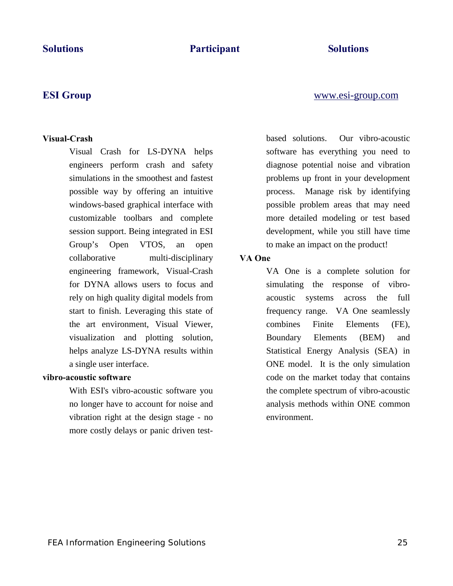# **Visual-Crash**

Visual Crash for LS-DYNA helps engineers perform crash and safety simulations in the smoothest and fastest possible way by offering an intuitive windows-based graphical interface with customizable toolbars and complete session support. Being integrated in ESI Group's Open VTOS, an open collaborative multi-disciplinary engineering framework, Visual-Crash for DYNA allows users to focus and rely on high quality digital models from start to finish. Leveraging this state of the art environment, Visual Viewer, visualization and plotting solution, helps analyze LS-DYNA results within a single user interface.

### **vibro-acoustic software**

With ESI's vibro-acoustic software you no longer have to account for noise and vibration right at the design stage - no more costly delays or panic driven testbased solutions. Our vibro-acoustic software has everything you need to diagnose potential noise and vibration problems up front in your development process. Manage risk by identifying possible problem areas that may need more detailed modeling or test based development, while you still have time to make an impact on the product!

# **VA One**

VA One is a complete solution for simulating the response of vibroacoustic systems across the full frequency range. VA One seamlessly combines Finite Elements (FE), Boundary Elements (BEM) and Statistical Energy Analysis (SEA) in ONE model. It is the only simulation code on the market today that contains the complete spectrum of vibro-acoustic analysis methods within ONE common environment.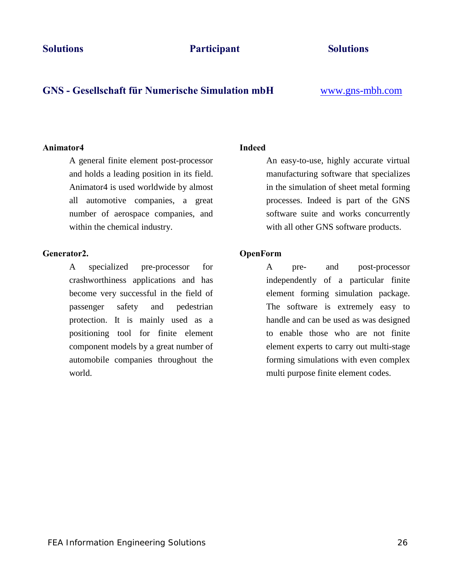# **GNS - Gesellschaft für Numerische Simulation mbH** [www.gns-mbh.com](http://www.gns-mbh.com/)

### **Animator4**

A general finite element post-processor and holds a leading position in its field. Animator4 is used worldwide by almost all automotive companies, a great number of aerospace companies, and within the chemical industry.

# **Generator2.**

A specialized pre-processor for crashworthiness applications and has become very successful in the field of passenger safety and pedestrian protection. It is mainly used as a positioning tool for finite element component models by a great number of automobile companies throughout the world.

# **Indeed**

An easy-to-use, highly accurate virtual manufacturing software that specializes in the simulation of sheet metal forming processes. Indeed is part of the GNS software suite and works concurrently with all other GNS software products.

# **OpenForm**

A pre- and post-processor independently of a particular finite element forming simulation package. The software is extremely easy to handle and can be used as was designed to enable those who are not finite element experts to carry out multi-stage forming simulations with even complex multi purpose finite element codes.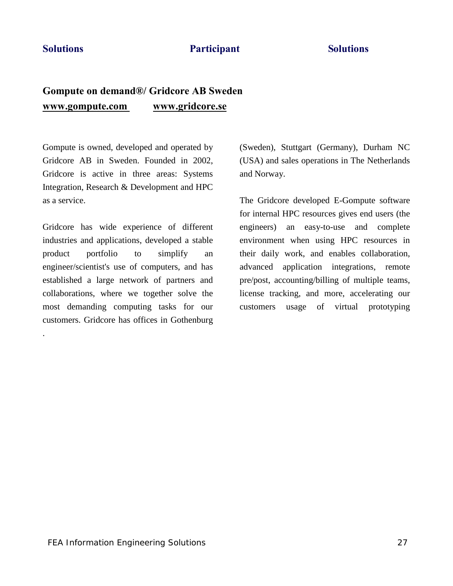.

# **Solutions** Participant Solutions

# **Gompute on demand®/ Gridcore AB Sweden [www.gompute.com](http://www.gompute.com/) [www.gridcore.se](http://www.gridcore.se/)**

Gompute is owned, developed and operated by Gridcore AB in Sweden. Founded in 2002, Gridcore is active in three areas: Systems Integration, Research & Development and HPC as a service.

Gridcore has wide experience of different industries and applications, developed a stable product portfolio to simplify an engineer/scientist's use of computers, and has established a large network of partners and collaborations, where we together solve the most demanding computing tasks for our customers. Gridcore has offices in Gothenburg

(Sweden), Stuttgart (Germany), Durham NC (USA) and sales operations in The Netherlands and Norway.

The Gridcore developed E-Gompute software for internal HPC resources gives end users (the engineers) an easy-to-use and complete environment when using HPC resources in their daily work, and enables collaboration, advanced application integrations, remote pre/post, accounting/billing of multiple teams, license tracking, and more, accelerating our customers usage of virtual prototyping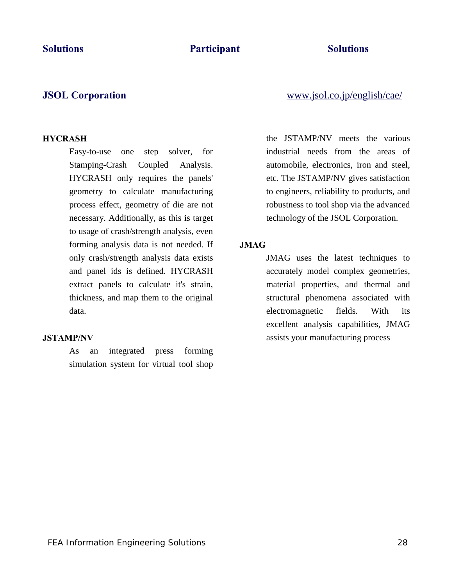# **HYCRASH**

Easy-to-use one step solver, for Stamping-Crash Coupled Analysis. HYCRASH only requires the panels' geometry to calculate manufacturing process effect, geometry of die are not necessary. Additionally, as this is target to usage of crash/strength analysis, even forming analysis data is not needed. If only crash/strength analysis data exists and panel ids is defined. HYCRASH extract panels to calculate it's strain, thickness, and map them to the original data.

### **JSTAMP/NV**

As an integrated press forming simulation system for virtual tool shop

**JSOL Corporation** [www.jsol.co.jp/english/cae/](http://www.jsol.co.jp/english/cae/)

the JSTAMP/NV meets the various industrial needs from the areas of automobile, electronics, iron and steel, etc. The JSTAMP/NV gives satisfaction to engineers, reliability to products, and robustness to tool shop via the advanced technology of the JSOL Corporation.

### **JMAG**

JMAG uses the latest techniques to accurately model complex geometries, material properties, and thermal and structural phenomena associated with electromagnetic fields. With its excellent analysis capabilities, JMAG assists your manufacturing process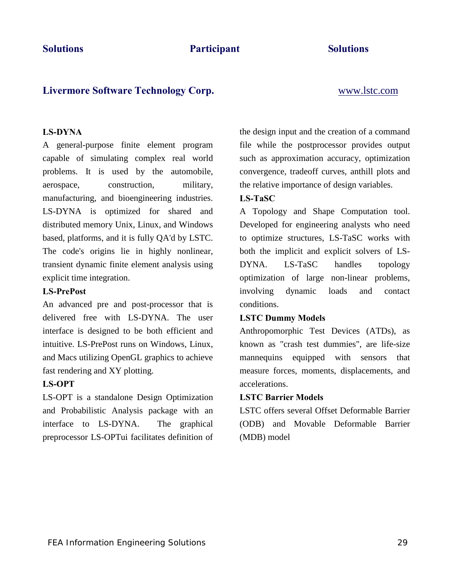# **Livermore Software Technology Corp.** [www.lstc.com](http://www.lstc.com/)

### **LS-DYNA**

A general-purpose finite element program capable of simulating complex real world problems. It is used by the automobile, aerospace, construction, military, manufacturing, and bioengineering industries. LS-DYNA is optimized for shared and distributed memory Unix, Linux, and Windows based, platforms, and it is fully QA'd by LSTC. The code's origins lie in highly nonlinear, transient dynamic finite element analysis using explicit time integration.

### **LS-PrePost**

An advanced pre and post-processor that is delivered free with LS-DYNA. The user interface is designed to be both efficient and intuitive. LS-PrePost runs on Windows, Linux, and Macs utilizing OpenGL graphics to achieve fast rendering and XY plotting.

# **LS-OPT**

LS-OPT is a standalone Design Optimization and Probabilistic Analysis package with an interface to LS-DYNA. The graphical preprocessor LS-OPTui facilitates definition of the design input and the creation of a command file while the postprocessor provides output such as approximation accuracy, optimization convergence, tradeoff curves, anthill plots and the relative importance of design variables.

# **LS-TaSC**

A Topology and Shape Computation tool. Developed for engineering analysts who need to optimize structures, LS-TaSC works with both the implicit and explicit solvers of LS-DYNA. LS-TaSC handles topology optimization of large non-linear problems, involving dynamic loads and contact conditions.

# **LSTC Dummy Models**

Anthropomorphic Test Devices (ATDs), as known as "crash test dummies", are life-size mannequins equipped with sensors that measure forces, moments, displacements, and accelerations.

### **LSTC Barrier Models**

LSTC offers several Offset Deformable Barrier (ODB) and Movable Deformable Barrier (MDB) model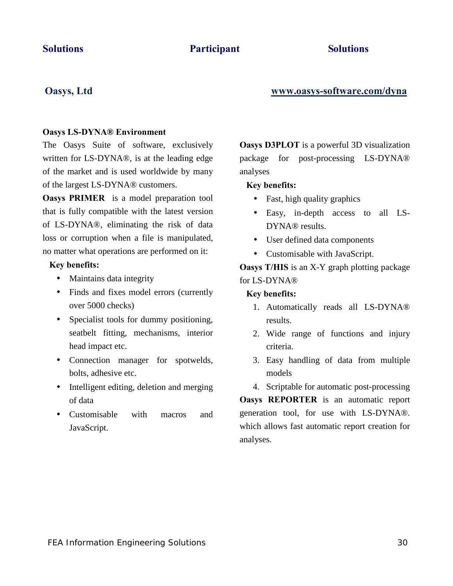# **Oasys, Ltd [www.oasys-software.com/dyna](http://www.oasys-software.com/dyna)**

### **Oasys LS-DYNA® Environment**

The Oasys Suite of software, exclusively written for LS-DYNA®, is at the leading edge of the market and is used worldwide by many of the largest LS-DYNA® customers.

**Oasys PRIMER** is a model preparation tool that is fully compatible with the latest version of LS-DYNA®, eliminating the risk of data loss or corruption when a file is manipulated, no matter what operations are performed on it:

### **Key benefits:**

- $\mathbf{r}^{\top}$ Maintains data integrity
- Finds and fixes model errors (currently  $\mathbf{r}$  . over 5000 checks)
- Specialist tools for dummy positioning, seatbelt fitting, mechanisms, interior head impact etc.
- Connection manager for spotwelds, bolts, adhesive etc.
- Intelligent editing, deletion and merging  $\mathbb{Z}^{\mathbb{Z}}$ of data
- Customisable with macros and JavaScript.

**Oasys D3PLOT** is a powerful 3D visualization package for post-processing LS-DYNA® analyses

### **Key benefits:**

- $\mathbf{r}^{\prime}$ Fast, high quality graphics
- Easy, in-depth access to all LS-DYNA<sup>®</sup> results.
- User defined data components
- Customisable with JavaScript.  $\mathbf{r}^{\prime}$

**Oasys T/HIS** is an X-Y graph plotting package for LS-DYNA®

### **Key benefits:**

- 1. Automatically reads all LS-DYNA® results.
- 2. Wide range of functions and injury criteria.
- 3. Easy handling of data from multiple models
- 4. Scriptable for automatic post-processing

**Oasys REPORTER** is an automatic report generation tool, for use with LS-DYNA®. which allows fast automatic report creation for analyses.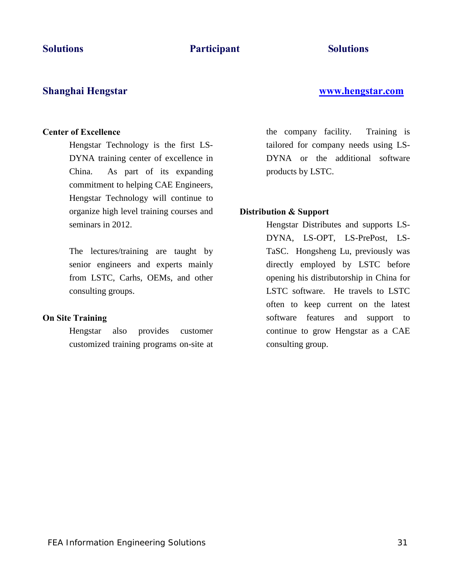# **Shanghai Hengstar [www.hengstar.com](http://www.hengstar.com/)**

# **Center of Excellence**

Hengstar Technology is the first LS-DYNA training center of excellence in China. As part of its expanding commitment to helping CAE Engineers, Hengstar Technology will continue to organize high level training courses and seminars in 2012.

The lectures/training are taught by senior engineers and experts mainly from LSTC, Carhs, OEMs, and other consulting groups.

# **On Site Training**

Hengstar also provides customer customized training programs on-site at the company facility. Training is tailored for company needs using LS-DYNA or the additional software products by LSTC.

# **Distribution & Support**

Hengstar Distributes and supports LS-DYNA, LS-OPT, LS-PrePost, LS-TaSC. Hongsheng Lu, previously was directly employed by LSTC before opening his distributorship in China for LSTC software. He travels to LSTC often to keep current on the latest software features and support to continue to grow Hengstar as a CAE consulting group.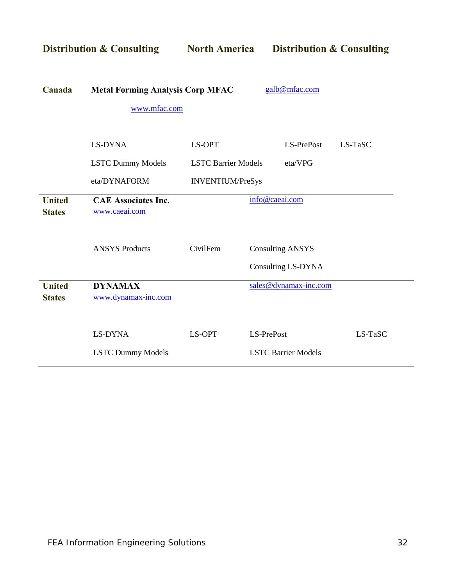| <b>Distribution &amp; Consulting</b> |                                                         | <b>North America</b>       | <b>Distribution &amp; Consulting</b>          |         |
|--------------------------------------|---------------------------------------------------------|----------------------------|-----------------------------------------------|---------|
| Canada                               | <b>Metal Forming Analysis Corp MFAC</b><br>www.mfac.com |                            | galb@mfac.com                                 |         |
|                                      | LS-DYNA                                                 | LS-OPT                     | LS-PrePost                                    | LS-TaSC |
|                                      | <b>LSTC Dummy Models</b>                                | <b>LSTC Barrier Models</b> | eta/VPG                                       |         |
|                                      | eta/DYNAFORM                                            | <b>INVENTIUM/PreSys</b>    |                                               |         |
| <b>United</b><br><b>States</b>       | <b>CAE Associates Inc.</b><br>www.caeai.com             |                            | info@caeai.com                                |         |
|                                      | <b>ANSYS Products</b>                                   | CivilFem                   | <b>Consulting ANSYS</b><br>Consulting LS-DYNA |         |
| <b>United</b><br><b>States</b>       | <b>DYNAMAX</b><br>www.dynamax-inc.com                   |                            | sales@dynamax-inc.com                         |         |
|                                      | LS-DYNA<br><b>LSTC Dummy Models</b>                     | LS-OPT                     | LS-PrePost<br><b>LSTC Barrier Models</b>      | LS-TaSC |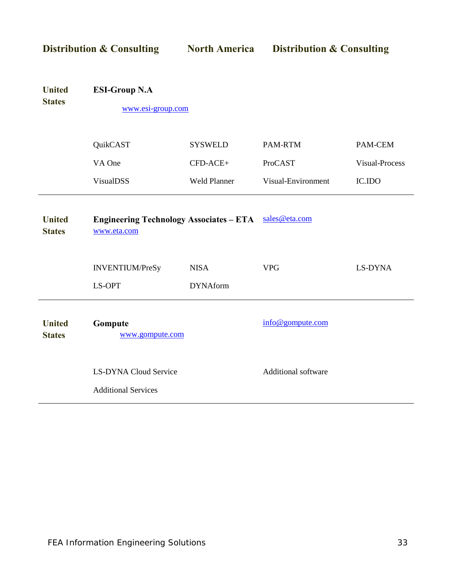| <b>Distribution &amp; Consulting</b> |                                                               | <b>North America</b> | <b>Distribution &amp; Consulting</b> |                |
|--------------------------------------|---------------------------------------------------------------|----------------------|--------------------------------------|----------------|
| <b>United</b><br><b>States</b>       | <b>ESI-Group N.A</b><br>www.esi-group.com                     |                      |                                      |                |
|                                      | QuikCAST                                                      | <b>SYSWELD</b>       | PAM-RTM                              | PAM-CEM        |
|                                      | VA One                                                        | CFD-ACE+             | ProCAST                              | Visual-Process |
|                                      | <b>VisualDSS</b>                                              | <b>Weld Planner</b>  | Visual-Environment                   | IC.IDO         |
| <b>United</b><br><b>States</b>       | <b>Engineering Technology Associates - ETA</b><br>www.eta.com |                      | sales@eta.com                        |                |
|                                      | <b>INVENTIUM/PreSy</b>                                        | <b>NISA</b>          | <b>VPG</b>                           | LS-DYNA        |
|                                      | LS-OPT                                                        | <b>DYNAform</b>      |                                      |                |
| <b>United</b><br><b>States</b>       | Gompute<br>www.gompute.com                                    |                      | info@gompute.com                     |                |
|                                      | <b>LS-DYNA Cloud Service</b><br><b>Additional Services</b>    |                      | Additional software                  |                |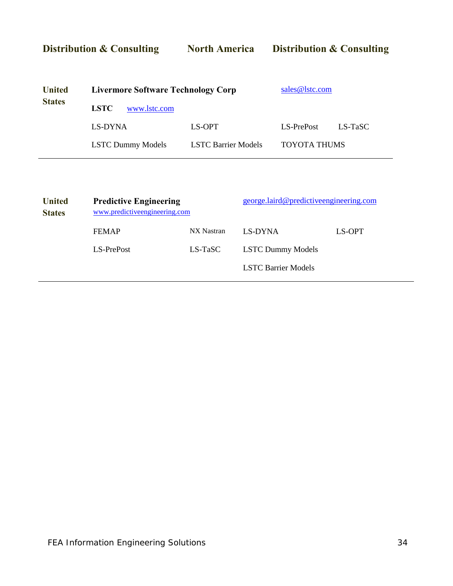**Distribution & Consulting North America Distribution & Consulting United States Livermore Software Technology Corp LSTC** [www.lstc.com](http://www.lstc.com/) [sales@lstc.com](mailto:sales@lstc.com) LS-DYNA LS-OPT LS-PrePost LS-TaSC

LSTC Dummy Models LSTC Barrier Models TOYOTA THUMS

| <b>United</b><br><b>States</b> | <b>Predictive Engineering</b><br>www.predictiveengineering.com |            | george.laird@predictiveengineering.com |        |  |
|--------------------------------|----------------------------------------------------------------|------------|----------------------------------------|--------|--|
|                                | <b>FEMAP</b>                                                   | NX Nastran | LS-DYNA                                | LS-OPT |  |
|                                | LS-PrePost                                                     | LS-TaSC    | <b>LSTC Dummy Models</b>               |        |  |
|                                |                                                                |            | <b>LSTC Barrier Models</b>             |        |  |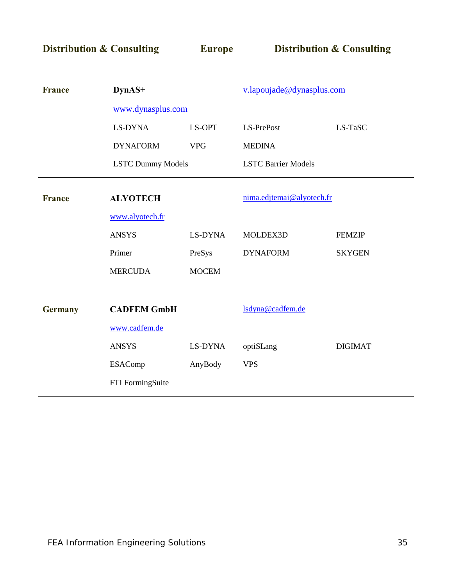**Distribution & Consulting Europe Distribution & Consulting** 

| <b>France</b>  | DynAS+                   |                | v.lapoujade@dynasplus.com  |                |
|----------------|--------------------------|----------------|----------------------------|----------------|
|                | www.dynasplus.com        |                |                            |                |
|                | LS-DYNA                  | LS-OPT         | LS-PrePost                 | LS-TaSC        |
|                | <b>DYNAFORM</b>          | <b>VPG</b>     | <b>MEDINA</b>              |                |
|                | <b>LSTC Dummy Models</b> |                | <b>LSTC Barrier Models</b> |                |
| <b>France</b>  | <b>ALYOTECH</b>          |                | nima.edjtemai@alyotech.fr  |                |
|                | www.alyotech.fr          |                |                            |                |
|                | <b>ANSYS</b>             | <b>LS-DYNA</b> | MOLDEX3D                   | <b>FEMZIP</b>  |
|                | Primer                   | PreSys         | <b>DYNAFORM</b>            | <b>SKYGEN</b>  |
|                | <b>MERCUDA</b>           | <b>MOCEM</b>   |                            |                |
| <b>Germany</b> | <b>CADFEM GmbH</b>       |                | lsdyna@cadfem.de           |                |
|                | www.cadfem.de            |                |                            |                |
|                | <b>ANSYS</b>             | LS-DYNA        | optiSLang                  | <b>DIGIMAT</b> |
|                | <b>ESAComp</b>           | AnyBody        | <b>VPS</b>                 |                |
|                | FTI FormingSuite         |                |                            |                |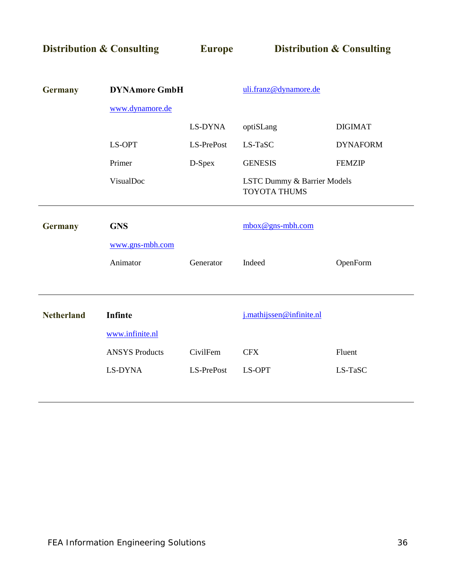| <b>Distribution &amp; Consulting</b> |                       | <b>Europe</b> |                                                    | <b>Distribution &amp; Consulting</b> |
|--------------------------------------|-----------------------|---------------|----------------------------------------------------|--------------------------------------|
|                                      |                       |               |                                                    |                                      |
| <b>Germany</b>                       | <b>DYNAmore GmbH</b>  |               | uli.franz@dynamore.de                              |                                      |
|                                      | www.dynamore.de       |               |                                                    |                                      |
|                                      |                       | LS-DYNA       | optiSLang                                          | <b>DIGIMAT</b>                       |
|                                      | LS-OPT                | LS-PrePost    | LS-TaSC                                            | <b>DYNAFORM</b>                      |
|                                      | Primer                | D-Spex        | <b>GENESIS</b>                                     | <b>FEMZIP</b>                        |
|                                      | VisualDoc             |               | LSTC Dummy & Barrier Models<br><b>TOYOTA THUMS</b> |                                      |
| <b>Germany</b>                       | <b>GNS</b>            |               | $mbox@gns-mbh.com$                                 |                                      |
|                                      | www.gns-mbh.com       |               |                                                    |                                      |
|                                      | Animator              | Generator     | Indeed                                             | OpenForm                             |
|                                      |                       |               |                                                    |                                      |
| <b>Netherland</b>                    | Infinte               |               | j.mathijssen@infinite.nl                           |                                      |
|                                      | www.infinite.nl       |               |                                                    |                                      |
|                                      | <b>ANSYS Products</b> | CivilFem      | <b>CFX</b>                                         | Fluent                               |
|                                      | LS-DYNA               | LS-PrePost    | LS-OPT                                             | LS-TaSC                              |
|                                      |                       |               |                                                    |                                      |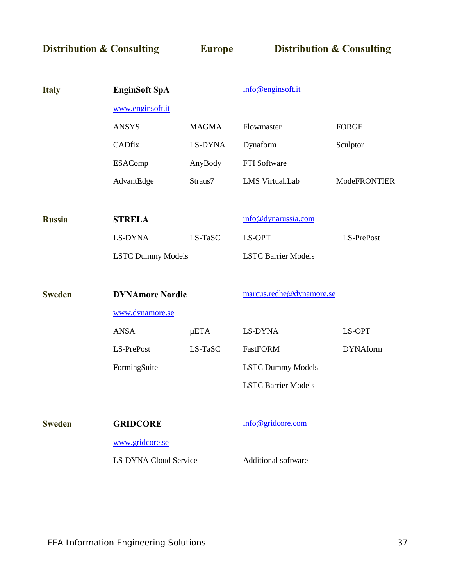**Distribution & Consulting Europe Distribution & Consulting**

| <b>Italy</b>  | <b>EnginSoft SpA</b>         |              | info@enginsoft.it          |                 |  |
|---------------|------------------------------|--------------|----------------------------|-----------------|--|
|               | www.enginsoft.it             |              |                            |                 |  |
|               | <b>ANSYS</b>                 | <b>MAGMA</b> | Flowmaster                 | <b>FORGE</b>    |  |
|               | <b>CADfix</b>                | LS-DYNA      | Dynaform                   | Sculptor        |  |
|               | <b>ESAComp</b>               | AnyBody      | FTI Software               |                 |  |
|               | AdvantEdge                   | Straus7      | LMS Virtual.Lab            | ModeFRONTIER    |  |
|               |                              |              |                            |                 |  |
| <b>Russia</b> | <b>STRELA</b>                |              | info@dynarussia.com        |                 |  |
|               | LS-DYNA                      | LS-TaSC      | LS-OPT                     | LS-PrePost      |  |
|               | <b>LSTC Dummy Models</b>     |              | <b>LSTC Barrier Models</b> |                 |  |
|               |                              |              |                            |                 |  |
| <b>Sweden</b> | <b>DYNAmore Nordic</b>       |              | marcus.redhe@dynamore.se   |                 |  |
|               | www.dynamore.se              |              |                            |                 |  |
|               | <b>ANSA</b>                  | $\mu$ ETA    | LS-DYNA                    | LS-OPT          |  |
|               | LS-PrePost                   | LS-TaSC      | FastFORM                   | <b>DYNAform</b> |  |
|               | FormingSuite                 |              | <b>LSTC Dummy Models</b>   |                 |  |
|               |                              |              | <b>LSTC Barrier Models</b> |                 |  |
|               |                              |              |                            |                 |  |
| <b>Sweden</b> | <b>GRIDCORE</b>              |              | info@gridcore.com          |                 |  |
|               | www.gridcore.se              |              |                            |                 |  |
|               | <b>LS-DYNA Cloud Service</b> |              | Additional software        |                 |  |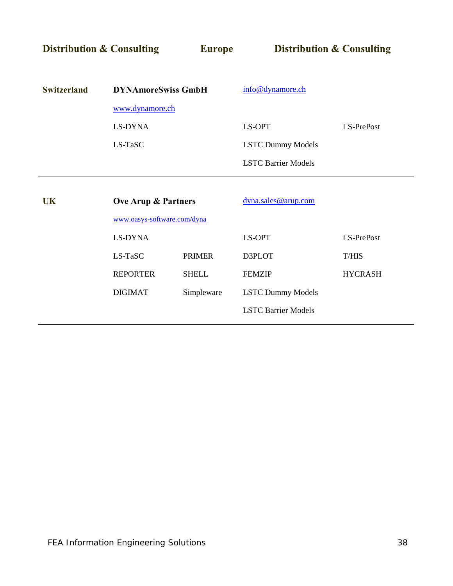**Distribution & Consulting Europe Distribution & Consulting** 

| <b>Switzerland</b> | <b>DYNAmoreSwiss GmbH</b>      |               | info@dynamore.ch           |                |  |  |
|--------------------|--------------------------------|---------------|----------------------------|----------------|--|--|
|                    | www.dynamore.ch                |               |                            |                |  |  |
|                    | LS-DYNA                        |               | LS-OPT                     | LS-PrePost     |  |  |
|                    | LS-TaSC                        |               | <b>LSTC Dummy Models</b>   |                |  |  |
|                    |                                |               | <b>LSTC Barrier Models</b> |                |  |  |
|                    |                                |               |                            |                |  |  |
| <b>UK</b>          | <b>Ove Arup &amp; Partners</b> |               | dyna.sales@arup.com        |                |  |  |
|                    | www.oasys-software.com/dyna    |               |                            |                |  |  |
|                    | LS-DYNA                        |               | LS-OPT                     | LS-PrePost     |  |  |
|                    | LS-TaSC                        | <b>PRIMER</b> | D3PLOT                     | <b>T/HIS</b>   |  |  |
|                    | <b>REPORTER</b>                | <b>SHELL</b>  | <b>FEMZIP</b>              | <b>HYCRASH</b> |  |  |
|                    | <b>DIGIMAT</b>                 | Simpleware    | <b>LSTC Dummy Models</b>   |                |  |  |
|                    |                                |               | <b>LSTC Barrier Models</b> |                |  |  |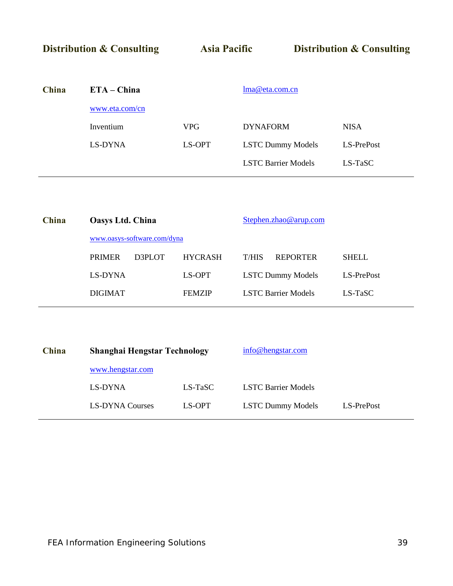| <b>Distribution &amp; Consulting</b> |                | <b>Asia Pacific</b> |                            | <b>Distribution &amp; Consulting</b> |             |
|--------------------------------------|----------------|---------------------|----------------------------|--------------------------------------|-------------|
|                                      |                |                     |                            |                                      |             |
| China                                | $ETA - China$  |                     | lma@eta.com.cn             |                                      |             |
|                                      | www.eta.com/cn |                     |                            |                                      |             |
|                                      | Inventium      | <b>VPG</b>          | <b>DYNAFORM</b>            |                                      | <b>NISA</b> |
|                                      | LS-DYNA        | LS-OPT              | <b>LSTC Dummy Models</b>   |                                      | LS-PrePost  |
|                                      |                |                     | <b>LSTC Barrier Models</b> |                                      | $LS$ -TaSC  |

| China |                             | <b>Oasys Ltd. China</b> |                |                            | Stephen.zhao@arup.com    |              |  |  |
|-------|-----------------------------|-------------------------|----------------|----------------------------|--------------------------|--------------|--|--|
|       | www.oasys-software.com/dyna |                         |                |                            |                          |              |  |  |
|       | <b>PRIMER</b><br>D3PLOT     |                         | <b>HYCRASH</b> | T/HIS                      | <b>REPORTER</b>          | <b>SHELL</b> |  |  |
|       | LS-DYNA                     |                         | LS-OPT         |                            | <b>LSTC Dummy Models</b> | LS-PrePost   |  |  |
|       | <b>DIGIMAT</b>              |                         | <b>FEMZIP</b>  | <b>LSTC Barrier Models</b> |                          | LS-TaSC      |  |  |
|       |                             |                         |                |                            |                          |              |  |  |

| China | <b>Shanghai Hengstar Technology</b> |         | info@hengstar.com          |            |
|-------|-------------------------------------|---------|----------------------------|------------|
|       | www.hengstar.com                    |         |                            |            |
|       | LS-DYNA                             | LS-TaSC | <b>LSTC Barrier Models</b> |            |
|       | <b>LS-DYNA Courses</b>              | LS-OPT  | <b>LSTC Dummy Models</b>   | LS-PrePost |
|       |                                     |         |                            |            |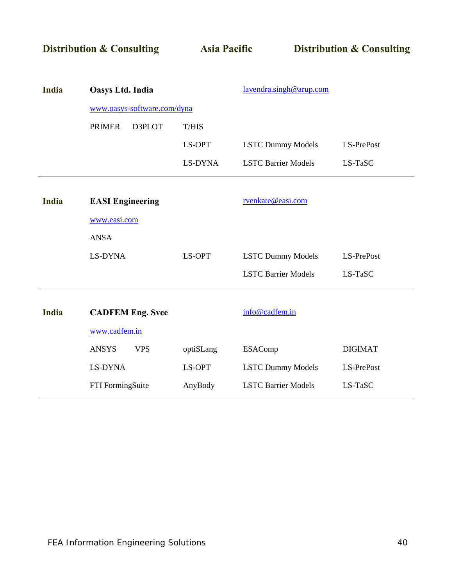|  |  |  |  |  | <b>Distribution &amp; Consulting</b> |  |  |  |  |  |
|--|--|--|--|--|--------------------------------------|--|--|--|--|--|
|  |  |  |  |  |                                      |  |  |  |  |  |

**Distribution & Consulting Asia Pacific Distribution & Consulting**

| India        | Oasys Ltd. India            |           | lavendra.singh@arup.com    |                |  |
|--------------|-----------------------------|-----------|----------------------------|----------------|--|
|              | www.oasys-software.com/dyna |           |                            |                |  |
|              | <b>PRIMER</b><br>D3PLOT     | T/HIS     |                            |                |  |
|              |                             | LS-OPT    | <b>LSTC Dummy Models</b>   | LS-PrePost     |  |
|              |                             | LS-DYNA   | <b>LSTC Barrier Models</b> | LS-TaSC        |  |
|              |                             |           |                            |                |  |
| India        | <b>EASI</b> Engineering     |           | rvenkate@easi.com          |                |  |
|              | www.easi.com                |           |                            |                |  |
|              | <b>ANSA</b>                 |           |                            |                |  |
|              | LS-DYNA                     | LS-OPT    | <b>LSTC Dummy Models</b>   | LS-PrePost     |  |
|              |                             |           | <b>LSTC Barrier Models</b> | LS-TaSC        |  |
|              |                             |           |                            |                |  |
| <b>India</b> | <b>CADFEM Eng. Svce</b>     |           | info@cadfem.in             |                |  |
|              | www.cadfem.in               |           |                            |                |  |
|              | <b>VPS</b><br><b>ANSYS</b>  | optiSLang | <b>ESAComp</b>             | <b>DIGIMAT</b> |  |
|              | LS-DYNA                     | LS-OPT    | <b>LSTC Dummy Models</b>   | LS-PrePost     |  |
|              | FTI FormingSuite            | AnyBody   | <b>LSTC Barrier Models</b> | LS-TaSC        |  |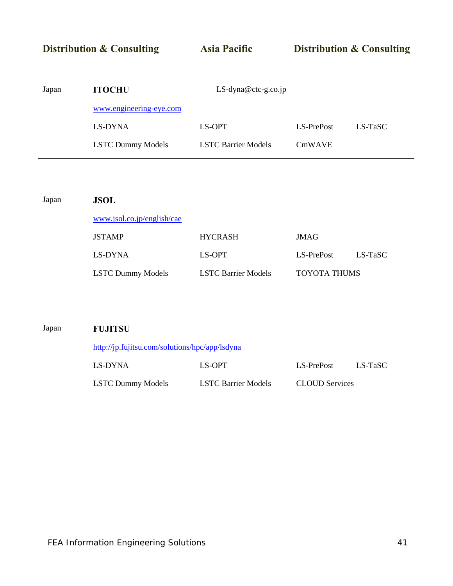**Distribution & Consulting 4.5 Asia Pacific 4.5 Assume Distribution & Consulting** Japan **ITOCHU** LS-dyna@ctc-g.co.jp [www.engineering-eye.com](http://www.engineering-eye.com/) LS-DYNA LS-OPT LS-PrePost LS-TaSC LSTC Dummy Models LSTC Barrier Models CmWAVE

| Japan | <b>JSOL</b>                |                            |                     |            |
|-------|----------------------------|----------------------------|---------------------|------------|
|       | www.jsol.co.jp/english/cae |                            |                     |            |
|       | <b>JSTAMP</b>              | <b>HYCRASH</b>             | <b>JMAG</b>         |            |
|       | LS-DYNA                    | LS-OPT                     | LS-PrePost          | $LS$ -TaSC |
|       | <b>LSTC Dummy Models</b>   | <b>LSTC Barrier Models</b> | <b>TOYOTA THUMS</b> |            |
|       |                            |                            |                     |            |

| Japan | <b>FUJITSU</b>                                 |                            |                       |         |
|-------|------------------------------------------------|----------------------------|-----------------------|---------|
|       | http://jp.fujitsu.com/solutions/hpc/app/lsdyna |                            |                       |         |
|       | LS-DYNA                                        | LS-OPT                     | LS-PrePost            | LS-TaSC |
|       | <b>LSTC Dummy Models</b>                       | <b>LSTC Barrier Models</b> | <b>CLOUD</b> Services |         |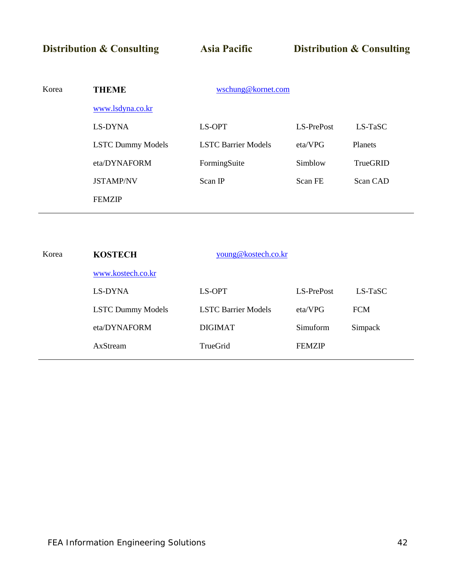**Distribution & Consulting 4. Asia Pacific 4. Distribution & Consulting** 

| Korea | wschung@kornet.com<br><b>THEME</b> |                            |            |                |  |  |
|-------|------------------------------------|----------------------------|------------|----------------|--|--|
|       | www.lsdyna.co.kr                   |                            |            |                |  |  |
|       | LS-DYNA                            | LS-OPT                     | LS-PrePost | $LS$ -TaSC     |  |  |
|       | <b>LSTC Dummy Models</b>           | <b>LSTC Barrier Models</b> | eta/VPG    | <b>Planets</b> |  |  |
|       | eta/DYNAFORM                       | FormingSuite               | Simblow    | TrueGRID       |  |  |
|       | <b>JSTAMP/NV</b>                   | Scan IP                    | Scan FE    | Scan CAD       |  |  |
|       | <b>FEMZIP</b>                      |                            |            |                |  |  |
|       |                                    |                            |            |                |  |  |

| Korea | <b>KOSTECH</b>           | young@kostech.co.kr        |               |            |
|-------|--------------------------|----------------------------|---------------|------------|
|       | www.kostech.co.kr        |                            |               |            |
|       | LS-DYNA                  | LS-OPT                     | LS-PrePost    | $LS-TaSC$  |
|       | <b>LSTC Dummy Models</b> | <b>LSTC Barrier Models</b> | eta/VPG       | <b>FCM</b> |
|       | eta/DYNAFORM             | <b>DIGIMAT</b>             | Simuform      | Simpack    |
|       | AxStream                 | TrueGrid                   | <b>FEMZIP</b> |            |
|       |                          |                            |               |            |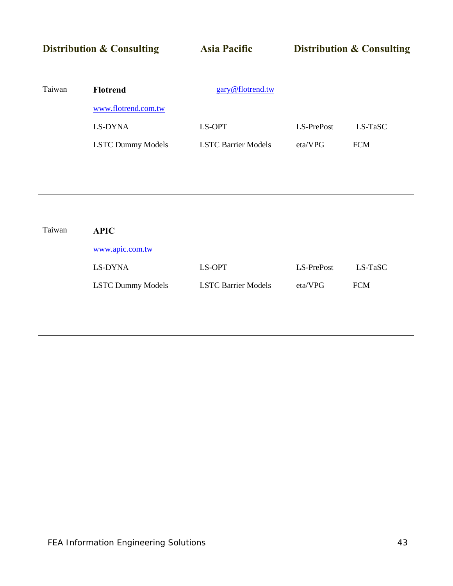# **Distribution & Consulting Asia Pacific Distribution & Consulting** Taiwan **Flotrend** [gary@flotrend.tw](mailto:gary@flotrend.tw) [www.flotrend.com.tw](http://www.flotrend.com.tw/) LS-DYNA LS-OPT LS-PrePost LS-TaSC LSTC Dummy Models LSTC Barrier Models eta/VPG FCM

| Taiwan | <b>APIC</b>              |                            |            |            |  |  |  |  |  |
|--------|--------------------------|----------------------------|------------|------------|--|--|--|--|--|
|        | www.apic.com.tw          |                            |            |            |  |  |  |  |  |
|        | LS-DYNA                  | LS-OPT                     | LS-PrePost | LS-TaSC    |  |  |  |  |  |
|        | <b>LSTC Dummy Models</b> | <b>LSTC Barrier Models</b> | eta/VPG    | <b>FCM</b> |  |  |  |  |  |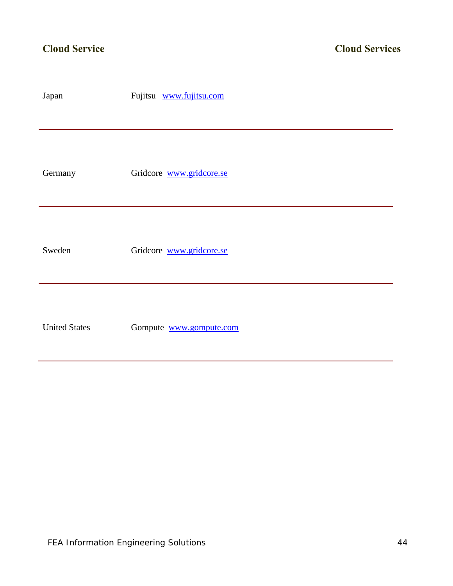| Japan                | Fujitsu www.fujitsu.com  |
|----------------------|--------------------------|
|                      |                          |
| Germany              | Gridcore www.gridcore.se |
| Sweden               | Gridcore www.gridcore.se |
| <b>United States</b> | Gompute www.gompute.com  |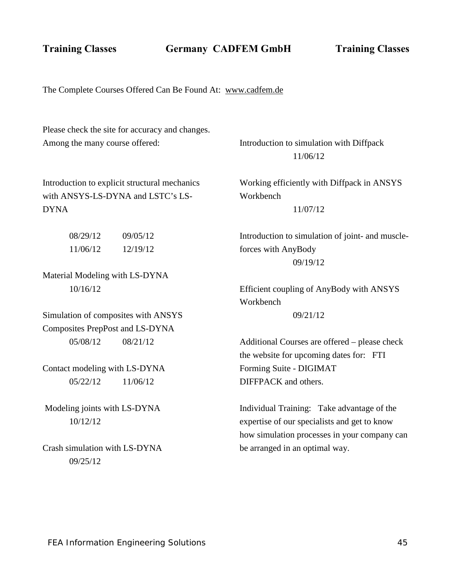**Training Classes Germany CADFEM GmbH Training Classes**

The Complete Courses Offered Can Be Found At: [www.cadfem.de](http://www.cadfem.de/) 

Please check the site for accuracy and changes. Among the many course offered:

Introduction to simulation with Diffpack 11/06/12

Introduction to explicit structural mechanics with ANSYS-LS-DYNA and LSTC's LS-DYNA

> 08/29/12 09/05/12 11/06/12 12/19/12

Material Modeling with LS-DYNA 10/16/12

Simulation of composites with ANSYS Composites PrepPost and LS-DYNA 05/08/12 08/21/12

Contact modeling with LS-DYNA 05/22/12 11/06/12

Modeling joints with LS-DYNA 10/12/12

Crash simulation with LS-DYNA 09/25/12

Working efficiently with Diffpack in ANSYS Workbench

11/07/12

Introduction to simulation of joint- and muscleforces with AnyBody 09/19/12

Efficient coupling of AnyBody with ANSYS **Workbench** 

09/21/12

Additional Courses are offered – please check the website for upcoming dates for: FTI Forming Suite - DIGIMAT DIFFPACK and others.

Individual Training: Take advantage of the expertise of our specialists and get to know how simulation processes in your company can be arranged in an optimal way.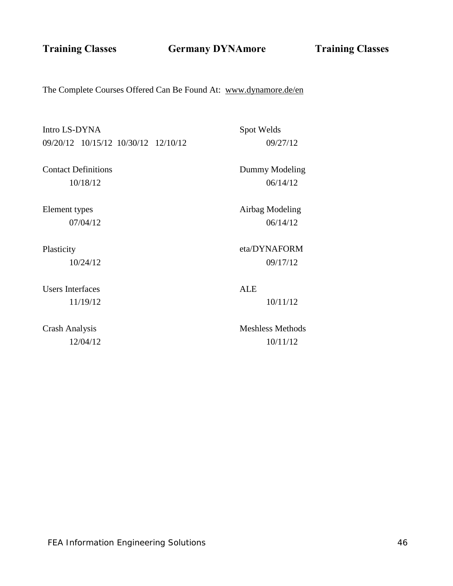**Training Classes Germany DYNAmore Training Classes**

The Complete Courses Offered Can Be Found At: [www.dynamore.de/en](http://www.dynamore.de/en) 

Intro LS-DYNA 09/20/12 10/15/12 10/30/12 12/10/12

Contact Definitions 10/18/12

Element types 07/04/12

Plasticity 10/24/12

Users Interfaces 11/19/12

Crash Analysis 12/04/12 Dummy Modeling

Spot Welds

06/14/12

09/27/12

Airbag Modeling 06/14/12

eta/DYNAFORM 09/17/12

ALE 10/11/12

Meshless Methods 10/11/12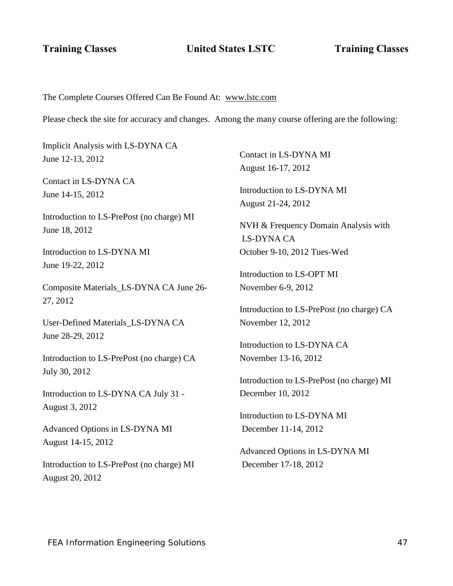**Training Classes** United States LSTC Training Classes

### The Complete Courses Offered Can Be Found At: [www.lstc.com](http://www.lstc.com/)

Please check the site for accuracy and changes. Among the many course offering are the following:

Implicit Analysis with LS-DYNA CA June 12-13, 2012 Contact in LS-DYNA CA June 14-15, 2012 Introduction to LS-PrePost (no charge) MI June 18, 2012 Introduction to LS-DYNA MI June 19-22, 2012 Composite Materials\_LS-DYNA CA June 26- 27, 2012 User-Defined Materials\_LS-DYNA CA June 28-29, 2012 Introduction to LS-PrePost (no charge) CA July 30, 2012 Introduction to LS-DYNA CA July 31 - August 3, 2012 Advanced Options in LS-DYNA MI August 14-15, 2012 Introduction to LS-PrePost (no charge) MI August 20, 2012

Contact in LS-DYNA MI August 16-17, 2012

Introduction to LS-DYNA MI August 21-24, 2012

NVH & Frequency Domain Analysis with LS-DYNA CA October 9-10, 2012 Tues-Wed

Introduction to LS-OPT MI November 6-9, 2012

Introduction to LS-PrePost (no charge) CA November 12, 2012

Introduction to LS-DYNA CA November 13-16, 2012

Introduction to LS-PrePost (no charge) MI December 10, 2012

Introduction to LS-DYNA MI December 11-14, 2012

Advanced Options in LS-DYNA MI December 17-18, 2012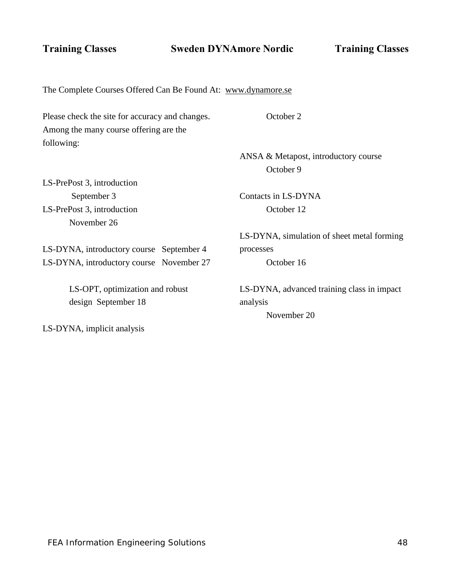**Training Classes Sweden DYNAmore Nordic Training Classes**

The Complete Courses Offered Can Be Found At: [www.dynamore.se](http://www.dynamore.se/) 

Please check the site for accuracy and changes. Among the many course offering are the following:

LS-PrePost 3, introduction September 3 LS-PrePost 3, introduction November 26

October 2

ANSA & Metapost, introductory course October 9

Contacts in LS-DYNA October 12

LS-DYNA, simulation of sheet metal forming processes October 16

LS-DYNA, advanced training class in impact analysis

November 20

LS-DYNA, introductory course September 4 LS-DYNA, introductory course November 27

> LS-OPT, optimization and robust design September 18

LS-DYNA, implicit analysis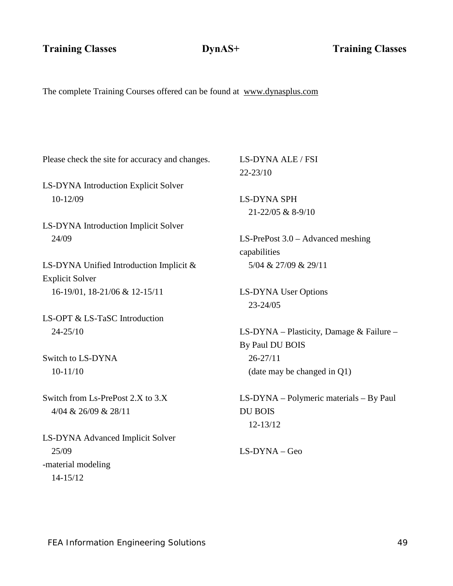The complete Training Courses offered can be found at [www.dynasplus.com](http://www.dynasplus.com/) 

Please check the site for accuracy and changes.

LS-DYNA Introduction Explicit Solver 10-12/09

LS-DYNA Introduction Implicit Solver 24/09

LS-DYNA Unified Introduction Implicit & Explicit Solver 16-19/01, 18-21/06 & 12-15/11

LS-OPT & LS-TaSC Introduction 24-25/10

Switch to LS-DYNA 10-11/10

Switch from Ls-PrePost 2.X to 3.X 4/04 & 26/09 & 28/11

LS-DYNA Advanced Implicit Solver 25/09 -material modeling 14-15/12

LS-DYNA ALE / FSI 22-23/10

LS-DYNA SPH 21-22/05 & 8-9/10

LS-PrePost 3.0 – Advanced meshing capabilities 5/04 & 27/09 & 29/11

LS-DYNA User Options 23-24/05

LS-DYNA – Plasticity, Damage & Failure – By Paul DU BOIS 26-27/11 (date may be changed in Q1)

LS-DYNA – Polymeric materials – By Paul DU BOIS 12-13/12

LS-DYNA – Geo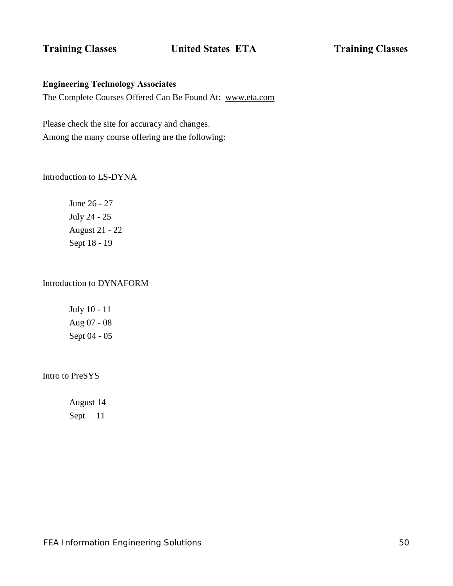# **Training Classes Classes United States ETA Training Classes**

# **Engineering Technology Associates**

The Complete Courses Offered Can Be Found At: [www.eta.com](http://www.eta.com/) 

Please check the site for accuracy and changes. Among the many course offering are the following:

Introduction to LS-DYNA

June 26 - 27 July 24 - 25 August 21 - 22 Sept 18 - 19

# Introduction to DYNAFORM

July 10 - 11 Aug 07 - 08 Sept 04 - 05

Intro to PreSYS

August 14 Sept 11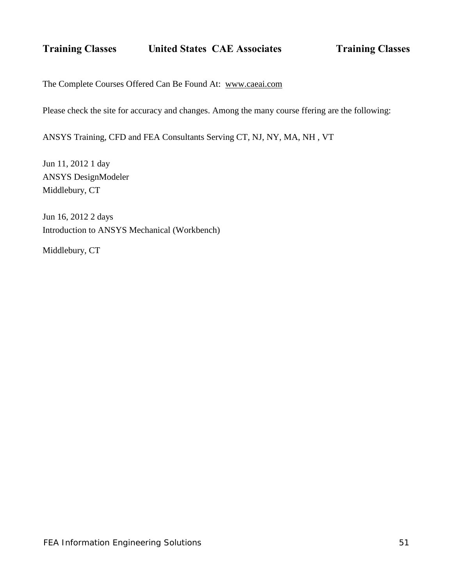The Complete Courses Offered Can Be Found At: [www.caeai.com](http://www.caeai.com/) 

Please check the site for accuracy and changes. Among the many course ffering are the following:

ANSYS Training, CFD and FEA Consultants Serving CT, NJ, NY, MA, NH , VT

Jun 11, 2012 1 day ANSYS DesignModeler Middlebury, CT

Jun 16, 2012 2 days Introduction to ANSYS Mechanical (Workbench)

Middlebury, CT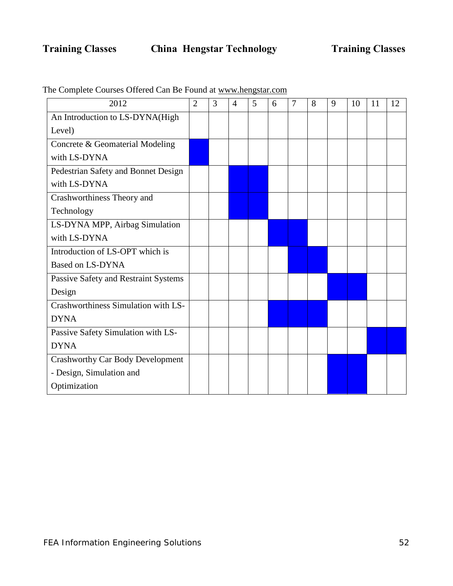| 2012                                    | $\overline{2}$ | 3 | 4 | 5 | 6 | 7 | 8 | 9 | 10 | 11 | 12 |
|-----------------------------------------|----------------|---|---|---|---|---|---|---|----|----|----|
| An Introduction to LS-DYNA(High         |                |   |   |   |   |   |   |   |    |    |    |
| Level)                                  |                |   |   |   |   |   |   |   |    |    |    |
| Concrete & Geomaterial Modeling         |                |   |   |   |   |   |   |   |    |    |    |
| with LS-DYNA                            |                |   |   |   |   |   |   |   |    |    |    |
| Pedestrian Safety and Bonnet Design     |                |   |   |   |   |   |   |   |    |    |    |
| with LS-DYNA                            |                |   |   |   |   |   |   |   |    |    |    |
| Crashworthiness Theory and              |                |   |   |   |   |   |   |   |    |    |    |
| Technology                              |                |   |   |   |   |   |   |   |    |    |    |
| LS-DYNA MPP, Airbag Simulation          |                |   |   |   |   |   |   |   |    |    |    |
| with LS-DYNA                            |                |   |   |   |   |   |   |   |    |    |    |
| Introduction of LS-OPT which is         |                |   |   |   |   |   |   |   |    |    |    |
| <b>Based on LS-DYNA</b>                 |                |   |   |   |   |   |   |   |    |    |    |
| Passive Safety and Restraint Systems    |                |   |   |   |   |   |   |   |    |    |    |
| Design                                  |                |   |   |   |   |   |   |   |    |    |    |
| Crashworthiness Simulation with LS-     |                |   |   |   |   |   |   |   |    |    |    |
| <b>DYNA</b>                             |                |   |   |   |   |   |   |   |    |    |    |
| Passive Safety Simulation with LS-      |                |   |   |   |   |   |   |   |    |    |    |
| <b>DYNA</b>                             |                |   |   |   |   |   |   |   |    |    |    |
| <b>Crashworthy Car Body Development</b> |                |   |   |   |   |   |   |   |    |    |    |
| - Design, Simulation and                |                |   |   |   |   |   |   |   |    |    |    |
| Optimization                            |                |   |   |   |   |   |   |   |    |    |    |

The Complete Courses Offered Can Be Found at [www.hengstar.com](http://www.hengstar.com/)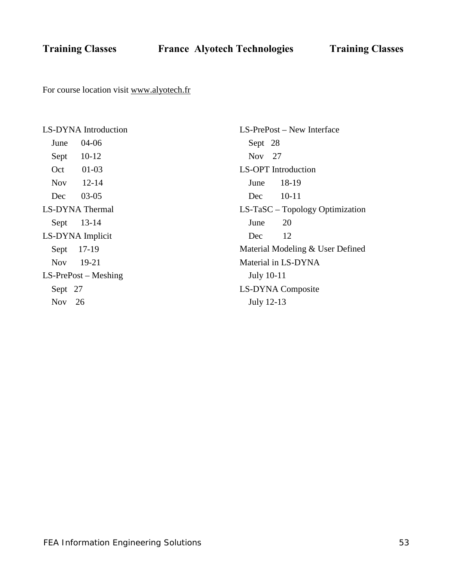**Training Classes France Alyotech Technologies Training Classes**

For course location visit [www.alyotech.fr](http://www.alyotech.fr/)

LS-DYNA Introduction June 04-06 Sept 10-12 Oct 01-03 Nov 12-14 Dec 03-05 LS-DYNA Thermal Sept 13-14 LS-DYNA Implicit Sept 17-19 Nov 19-21 LS-PrePost – Meshing Sept 27 Nov 26

LS-PrePost – New Interface Sept 28 Nov 27 LS-OPT Introduction June 18-19 Dec 10-11 LS-TaSC – Topology Optimization June 20 Dec 12 Material Modeling & User Defined Material in LS-DYNA July 10-11 LS-DYNA Composite July 12-13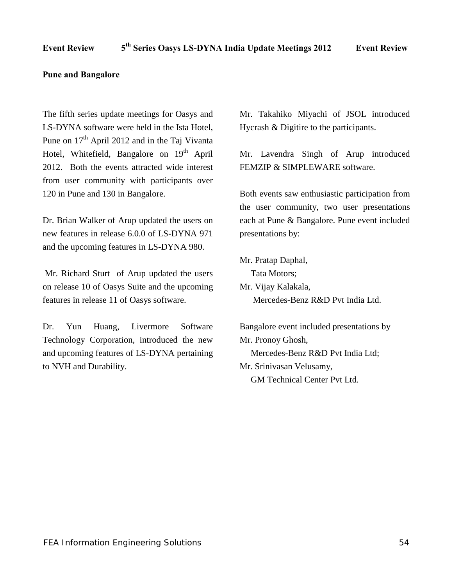### **Pune and Bangalore**

The fifth series update meetings for Oasys and LS-DYNA software were held in the Ista Hotel, Pune on  $17<sup>th</sup>$  April 2012 and in the Taj Vivanta Hotel, Whitefield, Bangalore on 19<sup>th</sup> April 2012. Both the events attracted wide interest from user community with participants over 120 in Pune and 130 in Bangalore.

Dr. Brian Walker of Arup updated the users on new features in release 6.0.0 of LS-DYNA 971 and the upcoming features in LS-DYNA 980.

Mr. Richard Sturt of Arup updated the users on release 10 of Oasys Suite and the upcoming features in release 11 of Oasys software.

Dr. Yun Huang, Livermore Software Technology Corporation, introduced the new and upcoming features of LS-DYNA pertaining to NVH and Durability.

Mr. Takahiko Miyachi of JSOL introduced Hycrash & Digitire to the participants.

Mr. Lavendra Singh of Arup introduced FEMZIP & SIMPLEWARE software.

Both events saw enthusiastic participation from the user community, two user presentations each at Pune & Bangalore. Pune event included presentations by:

Mr. Pratap Daphal, Tata Motors; Mr. Vijay Kalakala, Mercedes-Benz R&D Pvt India Ltd.

Bangalore event included presentations by Mr. Pronoy Ghosh, Mercedes-Benz R&D Pvt India Ltd; Mr. Srinivasan Velusamy, GM Technical Center Pvt Ltd.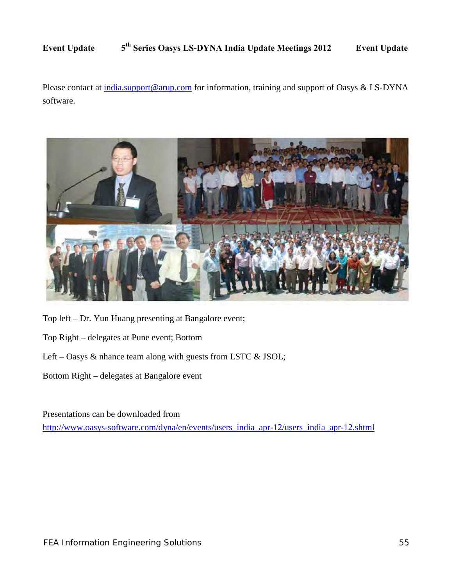Please contact at [india.support@arup.com](mailto:india.support@arup.com) for information, training and support of Oasys & LS-DYNA software.



Top left – Dr. Yun Huang presenting at Bangalore event;

- Top Right delegates at Pune event; Bottom
- Left Oasys  $\&$  nhance team along with guests from LSTC  $\&$  JSOL;
- Bottom Right delegates at Bangalore event

Presentations can be downloaded from [http://www.oasys-software.com/dyna/en/events/users\\_india\\_apr-12/users\\_india\\_apr-12.shtml](http://www.oasys-software.com/dyna/en/events/users_india_apr-12/users_india_apr-12.shtml)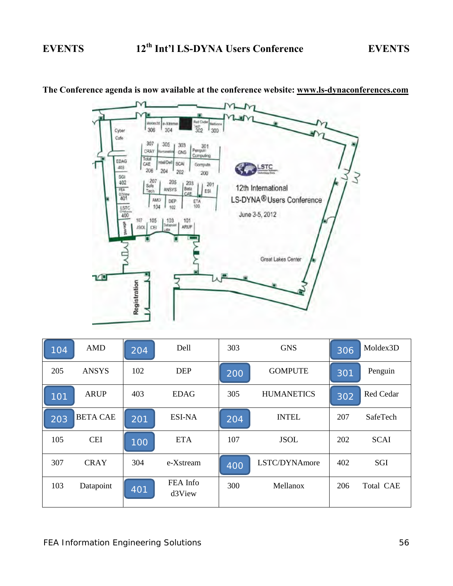

**The Conference agenda is now available at the conference website: [www.ls-dynaconferences.com](http://www.ls-dynaconferences.com/)** 

| 104 | <b>AMD</b>      | 204 | Dell               | 303 | <b>GNS</b>        | 306 | Moldex3D    |
|-----|-----------------|-----|--------------------|-----|-------------------|-----|-------------|
| 205 | <b>ANSYS</b>    | 102 | <b>DEP</b>         | 200 | <b>GOMPUTE</b>    | 301 | Penguin     |
| 101 | <b>ARUP</b>     | 403 | <b>EDAG</b>        | 305 | <b>HUMANETICS</b> | 302 | Red Cedar   |
| 203 | <b>BETA CAE</b> | 201 | <b>ESI-NA</b>      | 204 | <b>INTEL</b>      | 207 | SafeTech    |
| 105 | <b>CEI</b>      | 100 | <b>ETA</b>         | 107 | <b>JSOL</b>       | 202 | <b>SCAI</b> |
| 307 | <b>CRAY</b>     | 304 | e-Xstream          | 400 | LSTC/DYNAmore     | 402 | SGI         |
| 103 | Datapoint       | 401 | FEA Info<br>d3View | 300 | Mellanox          | 206 | Total CAE   |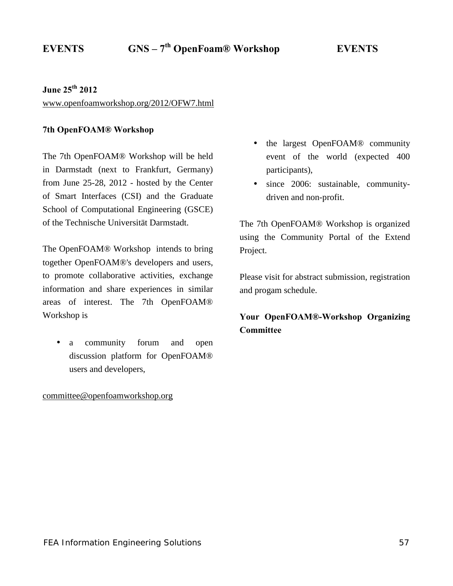# **June 25th 2012**

[www.openfoamworkshop.org/2012/OFW7.html](http://www.openfoamworkshop.org/2012/OFW7.html) 

# **7th OpenFOAM® Workshop**

The 7th OpenFOAM® Workshop will be held in Darmstadt (next to Frankfurt, Germany) from June 25-28, 2012 - hosted by the Center of Smart Interfaces (CSI) and the Graduate School of Computational Engineering (GSCE) of the Technische Universität Darmstadt.

The OpenFOAM® Workshop intends to bring together OpenFOAM®'s developers and users, to promote collaborative activities, exchange information and share experiences in similar areas of interest. The 7th OpenFOAM® Workshop is

a community forum and open discussion platform for OpenFOAM® users and developers,

# [committee@openfoamworkshop.org](mailto:committee@openfoamworkshop.org)

- the largest OpenFOAM® community  $\mathbf{r}$ event of the world (expected 400 participants),
- $\mathbf{r}$ since 2006: sustainable, communitydriven and non-profit.

The 7th OpenFOAM® Workshop is organized using the Community Portal of the Extend Project.

Please visit for abstract submission, registration and progam schedule.

# **Your OpenFOAM®-Workshop Organizing Committee**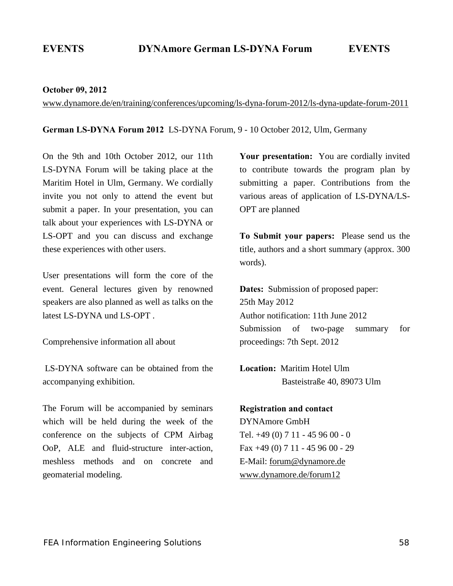### **October 09, 2012**

[www.dynamore.de/en/training/conferences/upcoming/ls-dyna-forum-2012/ls-dyna-update-forum-2011](http://www.dynamore.de/en/training/conferences/upcoming/ls-dyna-forum-2012/ls-dyna-update-forum-2011) 

**German LS-DYNA Forum 2012** LS-DYNA Forum, 9 - 10 October 2012, Ulm, Germany

On the 9th and 10th October 2012, our 11th LS-DYNA Forum will be taking place at the Maritim Hotel in Ulm, Germany. We cordially invite you not only to attend the event but submit a paper. In your presentation, you can talk about your experiences with LS-DYNA or LS-OPT and you can discuss and exchange these experiences with other users.

User presentations will form the core of the event. General lectures given by renowned speakers are also planned as well as talks on the latest LS-DYNA und LS-OPT .

Comprehensive information all about

LS-DYNA software can be obtained from the accompanying exhibition.

The Forum will be accompanied by seminars which will be held during the week of the conference on the subjects of CPM Airbag OoP, ALE and fluid-structure inter-action, meshless methods and on concrete and geomaterial modeling.

**Your presentation:** You are cordially invited to contribute towards the program plan by submitting a paper. Contributions from the various areas of application of LS-DYNA/LS-OPT are planned

**To Submit your papers:** Please send us the title, authors and a short summary (approx. 300 words).

**Dates:** Submission of proposed paper: 25th May 2012 Author notification: 11th June 2012 Submission of two-page summary for proceedings: 7th Sept. 2012

**Location:** Maritim Hotel Ulm Basteistraße 40, 89073 Ulm

**Registration and contact**  DYNAmore GmbH Tel. +49 (0) 7 11 - 45 96 00 - 0 Fax +49 (0) 7 11 - 45 96 00 - 29 E-Mail: [forum@dynamore.de](mailto:forum@dynamore.de)  [www.dynamore.de/forum12](http://www.dynamore.de/forum12)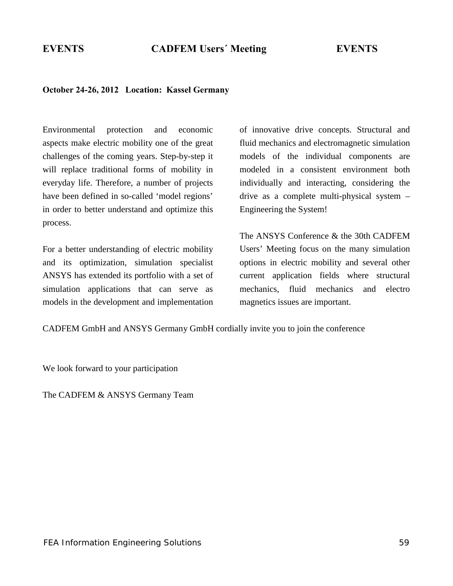# **October 24-26, 2012 Location: Kassel Germany**

Environmental protection and economic aspects make electric mobility one of the great challenges of the coming years. Step-by-step it will replace traditional forms of mobility in everyday life. Therefore, a number of projects have been defined in so-called 'model regions' in order to better understand and optimize this process.

For a better understanding of electric mobility and its optimization, simulation specialist ANSYS has extended its portfolio with a set of simulation applications that can serve as models in the development and implementation of innovative drive concepts. Structural and fluid mechanics and electromagnetic simulation models of the individual components are modeled in a consistent environment both individually and interacting, considering the drive as a complete multi-physical system – Engineering the System!

The ANSYS Conference & the 30th CADFEM Users' Meeting focus on the many simulation options in electric mobility and several other current application fields where structural mechanics, fluid mechanics and electro magnetics issues are important.

CADFEM GmbH and ANSYS Germany GmbH cordially invite you to join the conference

We look forward to your participation

The CADFEM & ANSYS Germany Team